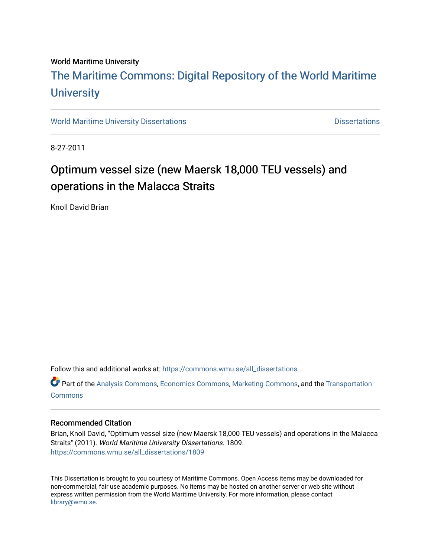# World Maritime University

# [The Maritime Commons: Digital Repository of the World Maritime](https://commons.wmu.se/)  **University**

[World Maritime University Dissertations](https://commons.wmu.se/all_dissertations) **Distributions** [Dissertations](https://commons.wmu.se/dissertations) Dissertations

8-27-2011

# Optimum vessel size (new Maersk 18,000 TEU vessels) and operations in the Malacca Straits

Knoll David Brian

Follow this and additional works at: [https://commons.wmu.se/all\\_dissertations](https://commons.wmu.se/all_dissertations?utm_source=commons.wmu.se%2Fall_dissertations%2F1809&utm_medium=PDF&utm_campaign=PDFCoverPages) 

Part of the [Analysis Commons](http://network.bepress.com/hgg/discipline/177?utm_source=commons.wmu.se%2Fall_dissertations%2F1809&utm_medium=PDF&utm_campaign=PDFCoverPages), [Economics Commons,](http://network.bepress.com/hgg/discipline/340?utm_source=commons.wmu.se%2Fall_dissertations%2F1809&utm_medium=PDF&utm_campaign=PDFCoverPages) [Marketing Commons](http://network.bepress.com/hgg/discipline/638?utm_source=commons.wmu.se%2Fall_dissertations%2F1809&utm_medium=PDF&utm_campaign=PDFCoverPages), and the [Transportation](http://network.bepress.com/hgg/discipline/1068?utm_source=commons.wmu.se%2Fall_dissertations%2F1809&utm_medium=PDF&utm_campaign=PDFCoverPages)  **[Commons](http://network.bepress.com/hgg/discipline/1068?utm_source=commons.wmu.se%2Fall_dissertations%2F1809&utm_medium=PDF&utm_campaign=PDFCoverPages)** 

# Recommended Citation

Brian, Knoll David, "Optimum vessel size (new Maersk 18,000 TEU vessels) and operations in the Malacca Straits" (2011). World Maritime University Dissertations. 1809. [https://commons.wmu.se/all\\_dissertations/1809](https://commons.wmu.se/all_dissertations/1809?utm_source=commons.wmu.se%2Fall_dissertations%2F1809&utm_medium=PDF&utm_campaign=PDFCoverPages)

This Dissertation is brought to you courtesy of Maritime Commons. Open Access items may be downloaded for non-commercial, fair use academic purposes. No items may be hosted on another server or web site without express written permission from the World Maritime University. For more information, please contact [library@wmu.se](mailto:library@wmu.edu).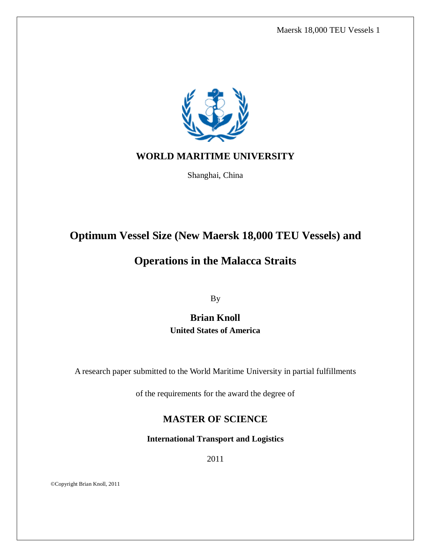

# **WORLD MARITIME UNIVERSITY**

Shanghai, China

# **Optimum Vessel Size (New Maersk 18,000 TEU Vessels) and**

# **Operations in the Malacca Straits**

By

**Brian Knoll United States of America**

A research paper submitted to the World Maritime University in partial fulfillments

of the requirements for the award the degree of

# **MASTER OF SCIENCE**

**International Transport and Logistics**

2011

©Copyright Brian Knoll, 2011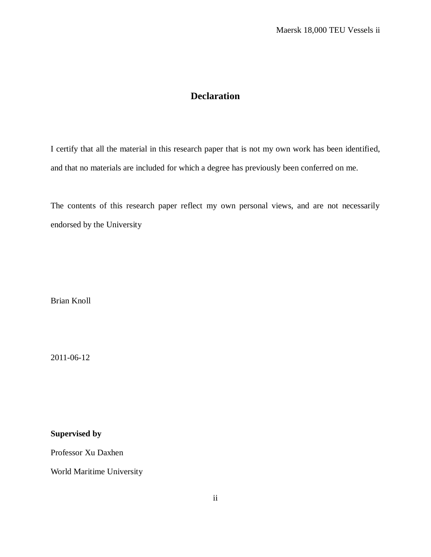# **Declaration**

<span id="page-2-0"></span>I certify that all the material in this research paper that is not my own work has been identified, and that no materials are included for which a degree has previously been conferred on me.

The contents of this research paper reflect my own personal views, and are not necessarily endorsed by the University

Brian Knoll

2011-06-12

**Supervised by** 

Professor Xu Daxhen

World Maritime University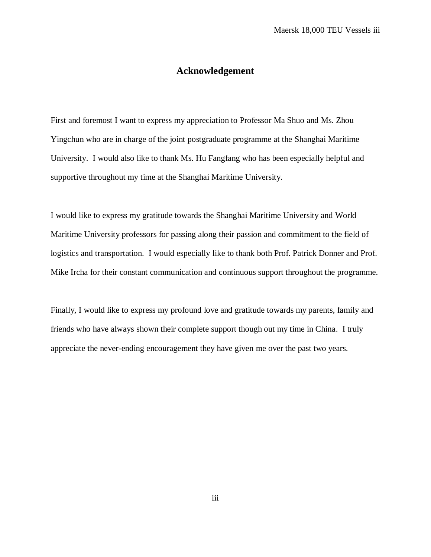# **Acknowledgement**

<span id="page-3-0"></span>First and foremost I want to express my appreciation to Professor Ma Shuo and Ms. Zhou Yingchun who are in charge of the joint postgraduate programme at the Shanghai Maritime University. I would also like to thank Ms. Hu Fangfang who has been especially helpful and supportive throughout my time at the Shanghai Maritime University.

I would like to express my gratitude towards the Shanghai Maritime University and World Maritime University professors for passing along their passion and commitment to the field of logistics and transportation. I would especially like to thank both Prof. Patrick Donner and Prof. Mike Ircha for their constant communication and continuous support throughout the programme.

<span id="page-3-1"></span>Finally, I would like to express my profound love and gratitude towards my parents, family and friends who have always shown their complete support though out my time in China. I truly appreciate the never-ending encouragement they have given me over the past two years.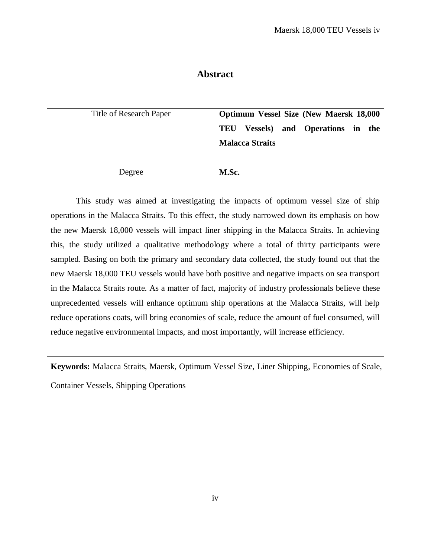# **Abstract**

Title of Research Paper **Optimum Vessel Size (New Maersk 18,000 TEU Vessels) and Operations in the Malacca Straits**

Degree **M.Sc.**

This study was aimed at investigating the impacts of optimum vessel size of ship operations in the Malacca Straits. To this effect, the study narrowed down its emphasis on how the new Maersk 18,000 vessels will impact liner shipping in the Malacca Straits. In achieving this, the study utilized a qualitative methodology where a total of thirty participants were sampled. Basing on both the primary and secondary data collected, the study found out that the new Maersk 18,000 TEU vessels would have both positive and negative impacts on sea transport in the Malacca Straits route. As a matter of fact, majority of industry professionals believe these unprecedented vessels will enhance optimum ship operations at the Malacca Straits, will help reduce operations coats, will bring economies of scale, reduce the amount of fuel consumed, will reduce negative environmental impacts, and most importantly, will increase efficiency.

**Keywords:** Malacca Straits, Maersk, Optimum Vessel Size, Liner Shipping, Economies of Scale, Container Vessels, Shipping Operations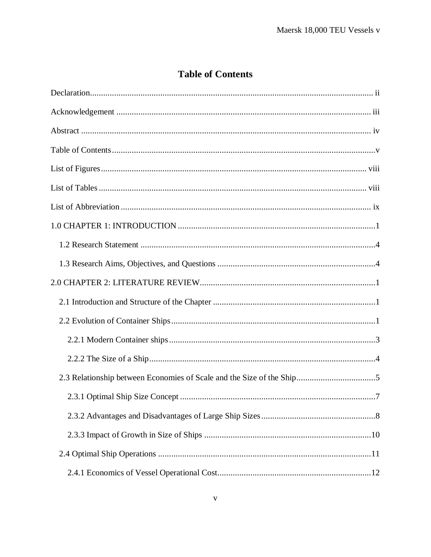# **Table of Contents**

<span id="page-5-0"></span>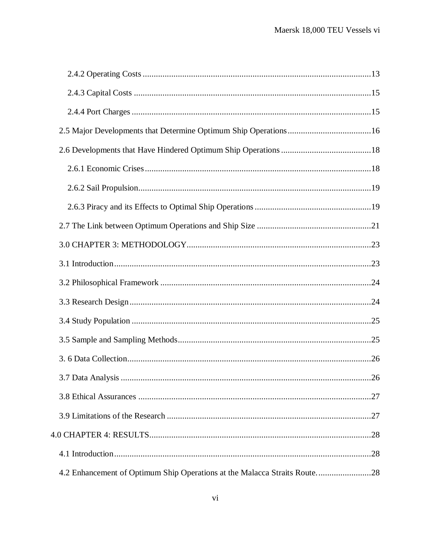| 4.2 Enhancement of Optimum Ship Operations at the Malacca Straits Route28 |  |
|---------------------------------------------------------------------------|--|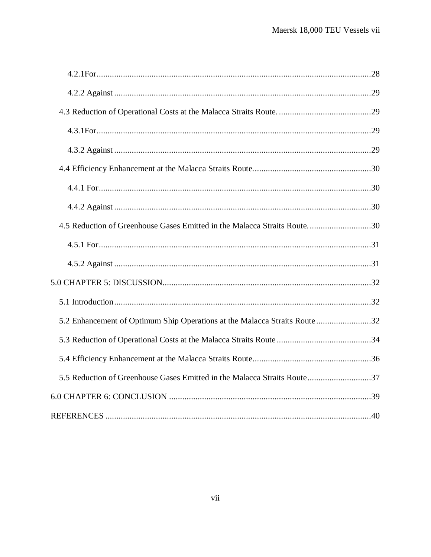| 4.5 Reduction of Greenhouse Gases Emitted in the Malacca Straits Route30  |  |
|---------------------------------------------------------------------------|--|
|                                                                           |  |
|                                                                           |  |
|                                                                           |  |
|                                                                           |  |
| 5.2 Enhancement of Optimum Ship Operations at the Malacca Straits Route32 |  |
|                                                                           |  |
|                                                                           |  |
| 5.5 Reduction of Greenhouse Gases Emitted in the Malacca Straits Route37  |  |
|                                                                           |  |
|                                                                           |  |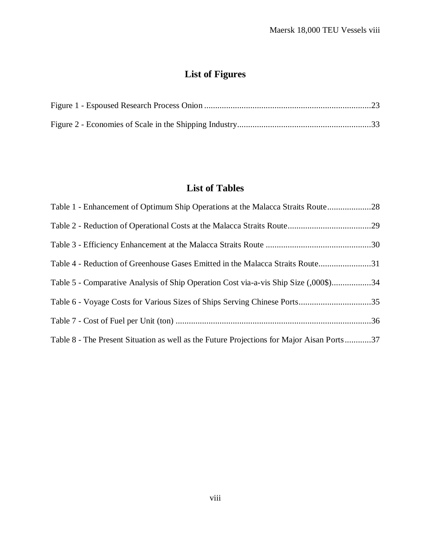# **List of Figures**

<span id="page-8-0"></span>

# **List of Tables**

<span id="page-8-1"></span>

| Table 1 - Enhancement of Optimum Ship Operations at the Malacca Straits Route28           |  |
|-------------------------------------------------------------------------------------------|--|
|                                                                                           |  |
|                                                                                           |  |
| Table 4 - Reduction of Greenhouse Gases Emitted in the Malacca Straits Route31            |  |
| Table 5 - Comparative Analysis of Ship Operation Cost via-a-vis Ship Size (,000\$)34      |  |
| Table 6 - Voyage Costs for Various Sizes of Ships Serving Chinese Ports35                 |  |
|                                                                                           |  |
| Table 8 - The Present Situation as well as the Future Projections for Major Aisan Ports37 |  |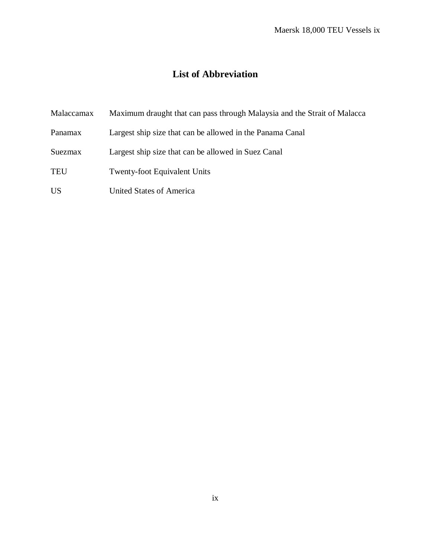# <span id="page-9-0"></span>**List of Abbreviation**

| Malaccamax     | Maximum draught that can pass through Malaysia and the Strait of Malacca |
|----------------|--------------------------------------------------------------------------|
| Panamax        | Largest ship size that can be allowed in the Panama Canal                |
| <b>Suezmax</b> | Largest ship size that can be allowed in Suez Canal                      |
| <b>TEU</b>     | <b>Twenty-foot Equivalent Units</b>                                      |
| <b>US</b>      | United States of America                                                 |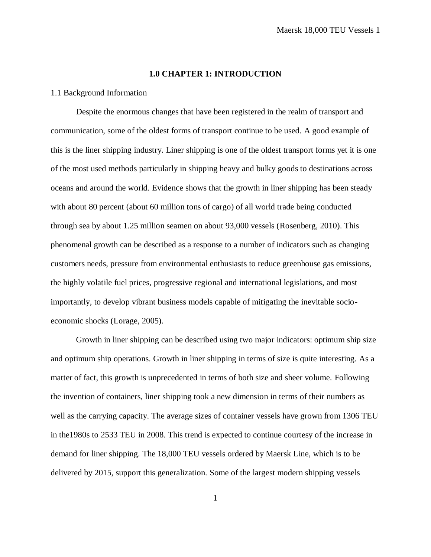## **1.0 CHAPTER 1: INTRODUCTION**

#### <span id="page-10-0"></span>1.1 Background Information

Despite the enormous changes that have been registered in the realm of transport and communication, some of the oldest forms of transport continue to be used. A good example of this is the liner shipping industry. Liner shipping is one of the oldest transport forms yet it is one of the most used methods particularly in shipping heavy and bulky goods to destinations across oceans and around the world. Evidence shows that the growth in liner shipping has been steady with about 80 percent (about 60 million tons of cargo) of all world trade being conducted through sea by about 1.25 million seamen on about 93,000 vessels (Rosenberg, 2010). This phenomenal growth can be described as a response to a number of indicators such as changing customers needs, pressure from environmental enthusiasts to reduce greenhouse gas emissions, the highly volatile fuel prices, progressive regional and international legislations, and most importantly, to develop vibrant business models capable of mitigating the inevitable socioeconomic shocks (Lorage, 2005).

Growth in liner shipping can be described using two major indicators: optimum ship size and optimum ship operations. Growth in liner shipping in terms of size is quite interesting. As a matter of fact, this growth is unprecedented in terms of both size and sheer volume. Following the invention of containers, liner shipping took a new dimension in terms of their numbers as well as the carrying capacity. The average sizes of container vessels have grown from 1306 TEU in the1980s to 2533 TEU in 2008. This trend is expected to continue courtesy of the increase in demand for liner shipping. The 18,000 TEU vessels ordered by Maersk Line, which is to be delivered by 2015, support this generalization. Some of the largest modern shipping vessels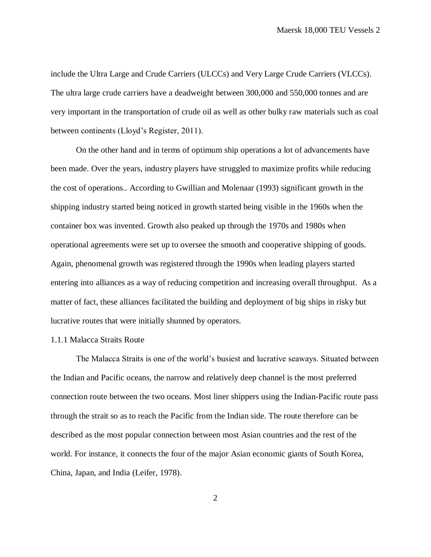include the Ultra Large and Crude Carriers (ULCCs) and Very Large Crude Carriers (VLCCs). The ultra large crude carriers have a deadweight between 300,000 and 550,000 tonnes and are very important in the transportation of crude oil as well as other bulky raw materials such as coal between continents (Lloyd's Register, 2011).

On the other hand and in terms of optimum ship operations a lot of advancements have been made. Over the years, industry players have struggled to maximize profits while reducing the cost of operations.. According to Gwillian and Molenaar (1993) significant growth in the shipping industry started being noticed in growth started being visible in the 1960s when the container box was invented. Growth also peaked up through the 1970s and 1980s when operational agreements were set up to oversee the smooth and cooperative shipping of goods. Again, phenomenal growth was registered through the 1990s when leading players started entering into alliances as a way of reducing competition and increasing overall throughput. As a matter of fact, these alliances facilitated the building and deployment of big ships in risky but lucrative routes that were initially shunned by operators.

#### 1.1.1 Malacca Straits Route

The Malacca Straits is one of the world's busiest and lucrative seaways. Situated between the Indian and Pacific oceans, the narrow and relatively deep channel is the most preferred connection route between the two oceans. Most liner shippers using the Indian-Pacific route pass through the strait so as to reach the Pacific from the Indian side. The route therefore can be described as the most popular connection between most Asian countries and the rest of the world. For instance, it connects the four of the major Asian economic giants of South Korea, China, Japan, and India (Leifer, 1978).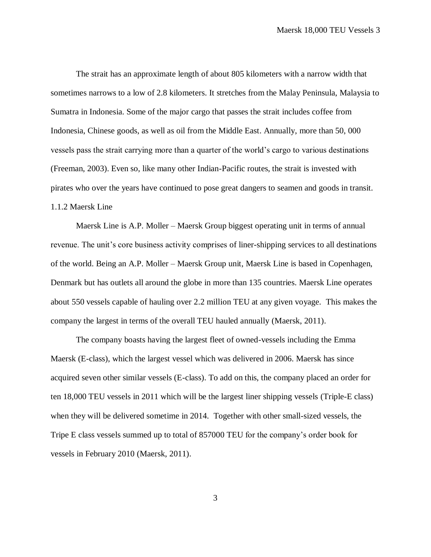The strait has an approximate length of about 805 kilometers with a narrow width that sometimes narrows to a low of 2.8 kilometers. It stretches from the Malay Peninsula, Malaysia to Sumatra in Indonesia. Some of the major cargo that passes the strait includes coffee from Indonesia, Chinese goods, as well as oil from the Middle East. Annually, more than 50, 000 vessels pass the strait carrying more than a quarter of the world's cargo to various destinations (Freeman, 2003). Even so, like many other Indian-Pacific routes, the strait is invested with pirates who over the years have continued to pose great dangers to seamen and goods in transit. 1.1.2 Maersk Line

Maersk Line is A.P. Moller – Maersk Group biggest operating unit in terms of annual revenue. The unit's core business activity comprises of liner-shipping services to all destinations of the world. Being an A.P. Moller – Maersk Group unit, Maersk Line is based in Copenhagen, Denmark but has outlets all around the globe in more than 135 countries. Maersk Line operates about 550 vessels capable of hauling over 2.2 million TEU at any given voyage. This makes the company the largest in terms of the overall TEU hauled annually (Maersk, 2011).

The company boasts having the largest fleet of owned-vessels including the Emma Maersk (E-class), which the largest vessel which was delivered in 2006. Maersk has since acquired seven other similar vessels (E-class). To add on this, the company placed an order for ten 18,000 TEU vessels in 2011 which will be the largest liner shipping vessels (Triple-E class) when they will be delivered sometime in 2014. Together with other small-sized vessels, the Tripe E class vessels summed up to total of 857000 TEU for the company's order book for vessels in February 2010 (Maersk, 2011).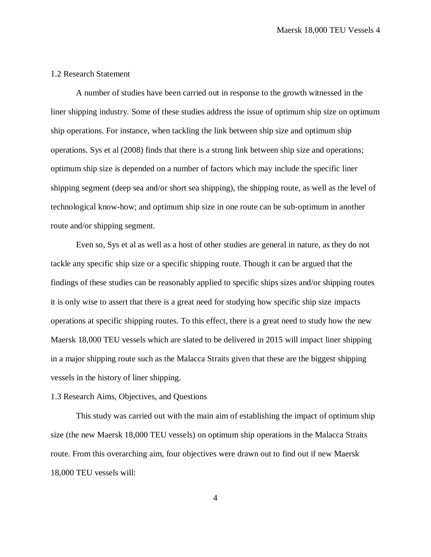# <span id="page-13-0"></span>1.2 Research Statement

A number of studies have been carried out in response to the growth witnessed in the liner shipping industry. Some of these studies address the issue of optimum ship size on optimum ship operations. For instance, when tackling the link between ship size and optimum ship operations. Sys et al (2008) finds that there is a strong link between ship size and operations; optimum ship size is depended on a number of factors which may include the specific liner shipping segment (deep sea and/or short sea shipping), the shipping route, as well as the level of technological know-how; and optimum ship size in one route can be sub-optimum in another route and/or shipping segment.

Even so, Sys et al as well as a host of other studies are general in nature, as they do not tackle any specific ship size or a specific shipping route. Though it can be argued that the findings of these studies can be reasonably applied to specific ships sizes and/or shipping routes it is only wise to assert that there is a great need for studying how specific ship size impacts operations at specific shipping routes. To this effect, there is a great need to study how the new Maersk 18,000 TEU vessels which are slated to be delivered in 2015 will impact liner shipping in a major shipping route such as the Malacca Straits given that these are the biggest shipping vessels in the history of liner shipping.

# <span id="page-13-1"></span>1.3 Research Aims, Objectives, and Questions

This study was carried out with the main aim of establishing the impact of optimum ship size (the new Maersk 18,000 TEU vessels) on optimum ship operations in the Malacca Straits route. From this overarching aim, four objectives were drawn out to find out if new Maersk 18,000 TEU vessels will: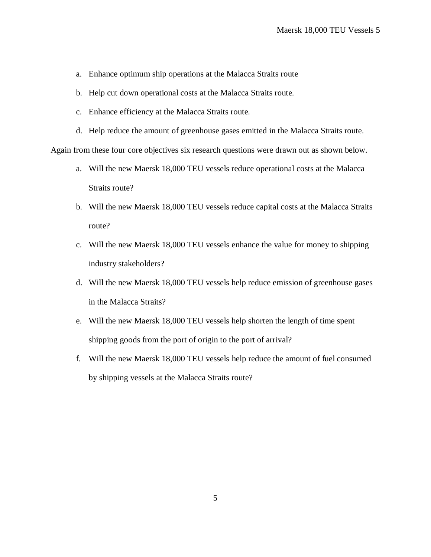- a. Enhance optimum ship operations at the Malacca Straits route
- b. Help cut down operational costs at the Malacca Straits route.
- c. Enhance efficiency at the Malacca Straits route.
- d. Help reduce the amount of greenhouse gases emitted in the Malacca Straits route.

Again from these four core objectives six research questions were drawn out as shown below.

- a. Will the new Maersk 18,000 TEU vessels reduce operational costs at the Malacca Straits route?
- b. Will the new Maersk 18,000 TEU vessels reduce capital costs at the Malacca Straits route?
- c. Will the new Maersk 18,000 TEU vessels enhance the value for money to shipping industry stakeholders?
- d. Will the new Maersk 18,000 TEU vessels help reduce emission of greenhouse gases in the Malacca Straits?
- e. Will the new Maersk 18,000 TEU vessels help shorten the length of time spent shipping goods from the port of origin to the port of arrival?
- f. Will the new Maersk 18,000 TEU vessels help reduce the amount of fuel consumed by shipping vessels at the Malacca Straits route?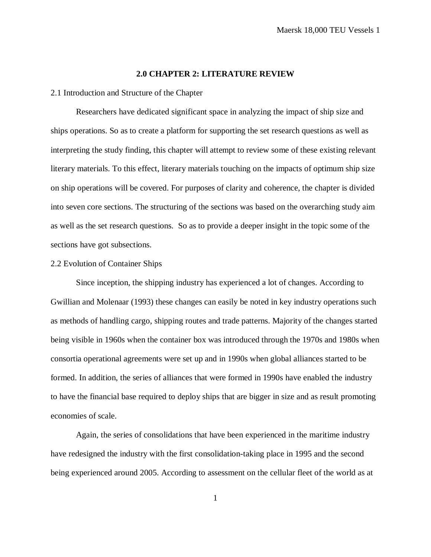## **2.0 CHAPTER 2: LITERATURE REVIEW**

<span id="page-15-1"></span><span id="page-15-0"></span>2.1 Introduction and Structure of the Chapter

Researchers have dedicated significant space in analyzing the impact of ship size and ships operations. So as to create a platform for supporting the set research questions as well as interpreting the study finding, this chapter will attempt to review some of these existing relevant literary materials. To this effect, literary materials touching on the impacts of optimum ship size on ship operations will be covered. For purposes of clarity and coherence, the chapter is divided into seven core sections. The structuring of the sections was based on the overarching study aim as well as the set research questions. So as to provide a deeper insight in the topic some of the sections have got subsections.

#### <span id="page-15-2"></span>2.2 Evolution of Container Ships

Since inception, the shipping industry has experienced a lot of changes. According to Gwillian and Molenaar (1993) these changes can easily be noted in key industry operations such as methods of handling cargo, shipping routes and trade patterns. Majority of the changes started being visible in 1960s when the container box was introduced through the 1970s and 1980s when consortia operational agreements were set up and in 1990s when global alliances started to be formed. In addition, the series of alliances that were formed in 1990s have enabled the industry to have the financial base required to deploy ships that are bigger in size and as result promoting economies of scale.

Again, the series of consolidations that have been experienced in the maritime industry have redesigned the industry with the first consolidation-taking place in 1995 and the second being experienced around 2005. According to assessment on the cellular fleet of the world as at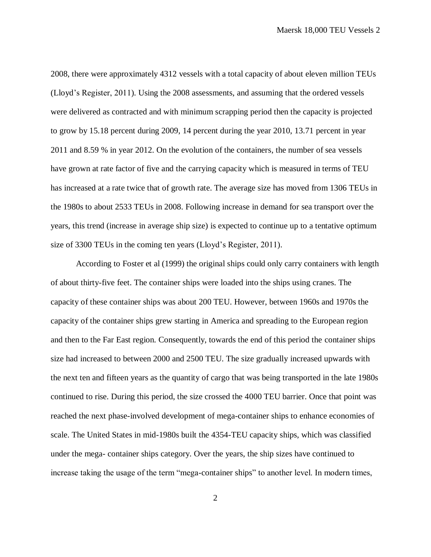2008, there were approximately 4312 vessels with a total capacity of about eleven million TEUs (Lloyd's Register, 2011). Using the 2008 assessments, and assuming that the ordered vessels were delivered as contracted and with minimum scrapping period then the capacity is projected to grow by 15.18 percent during 2009, 14 percent during the year 2010, 13.71 percent in year 2011 and 8.59 % in year 2012. On the evolution of the containers, the number of sea vessels have grown at rate factor of five and the carrying capacity which is measured in terms of TEU has increased at a rate twice that of growth rate. The average size has moved from 1306 TEUs in the 1980s to about 2533 TEUs in 2008. Following increase in demand for sea transport over the years, this trend (increase in average ship size) is expected to continue up to a tentative optimum size of 3300 TEUs in the coming ten years (Lloyd's Register, 2011).

According to Foster et al (1999) the original ships could only carry containers with length of about thirty-five feet. The container ships were loaded into the ships using cranes. The capacity of these container ships was about 200 TEU. However, between 1960s and 1970s the capacity of the container ships grew starting in America and spreading to the European region and then to the Far East region. Consequently, towards the end of this period the container ships size had increased to between 2000 and 2500 TEU. The size gradually increased upwards with the next ten and fifteen years as the quantity of cargo that was being transported in the late 1980s continued to rise. During this period, the size crossed the 4000 TEU barrier. Once that point was reached the next phase-involved development of mega-container ships to enhance economies of scale. The United States in mid-1980s built the 4354-TEU capacity ships, which was classified under the mega- container ships category. Over the years, the ship sizes have continued to increase taking the usage of the term "mega-container ships" to another level. In modern times,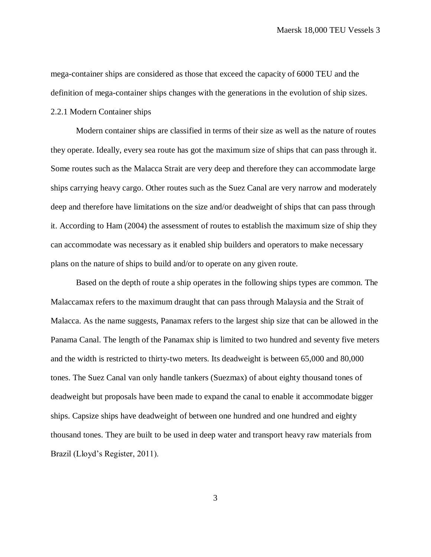mega-container ships are considered as those that exceed the capacity of 6000 TEU and the definition of mega-container ships changes with the generations in the evolution of ship sizes.

#### <span id="page-17-0"></span>2.2.1 Modern Container ships

Modern container ships are classified in terms of their size as well as the nature of routes they operate. Ideally, every sea route has got the maximum size of ships that can pass through it. Some routes such as the Malacca Strait are very deep and therefore they can accommodate large ships carrying heavy cargo. Other routes such as the Suez Canal are very narrow and moderately deep and therefore have limitations on the size and/or deadweight of ships that can pass through it. According to Ham (2004) the assessment of routes to establish the maximum size of ship they can accommodate was necessary as it enabled ship builders and operators to make necessary plans on the nature of ships to build and/or to operate on any given route.

Based on the depth of route a ship operates in the following ships types are common. The Malaccamax refers to the maximum draught that can pass through Malaysia and the Strait of Malacca. As the name suggests, Panamax refers to the largest ship size that can be allowed in the Panama Canal. The length of the Panamax ship is limited to two hundred and seventy five meters and the width is restricted to thirty-two meters. Its deadweight is between 65,000 and 80,000 tones. The Suez Canal van only handle tankers (Suezmax) of about eighty thousand tones of deadweight but proposals have been made to expand the canal to enable it accommodate bigger ships. Capsize ships have deadweight of between one hundred and one hundred and eighty thousand tones. They are built to be used in deep water and transport heavy raw materials from Brazil (Lloyd's Register, 2011).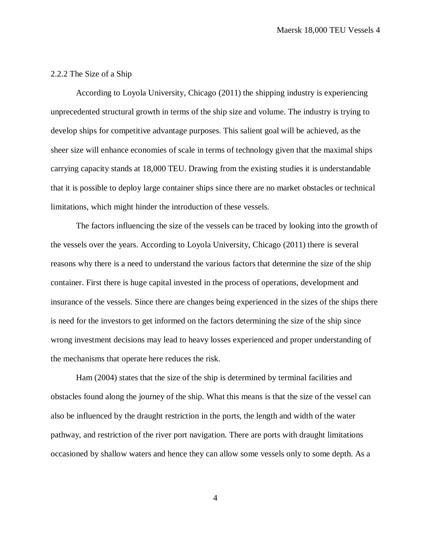## <span id="page-18-0"></span>2.2.2 The Size of a Ship

According to Loyola University, Chicago (2011) the shipping industry is experiencing unprecedented structural growth in terms of the ship size and volume. The industry is trying to develop ships for competitive advantage purposes. This salient goal will be achieved, as the sheer size will enhance economies of scale in terms of technology given that the maximal ships carrying capacity stands at 18,000 TEU. Drawing from the existing studies it is understandable that it is possible to deploy large container ships since there are no market obstacles or technical limitations, which might hinder the introduction of these vessels.

The factors influencing the size of the vessels can be traced by looking into the growth of the vessels over the years. According to Loyola University, Chicago (2011) there is several reasons why there is a need to understand the various factors that determine the size of the ship container. First there is huge capital invested in the process of operations, development and insurance of the vessels. Since there are changes being experienced in the sizes of the ships there is need for the investors to get informed on the factors determining the size of the ship since wrong investment decisions may lead to heavy losses experienced and proper understanding of the mechanisms that operate here reduces the risk.

Ham (2004) states that the size of the ship is determined by terminal facilities and obstacles found along the journey of the ship. What this means is that the size of the vessel can also be influenced by the draught restriction in the ports, the length and width of the water pathway, and restriction of the river port navigation. There are ports with draught limitations occasioned by shallow waters and hence they can allow some vessels only to some depth. As a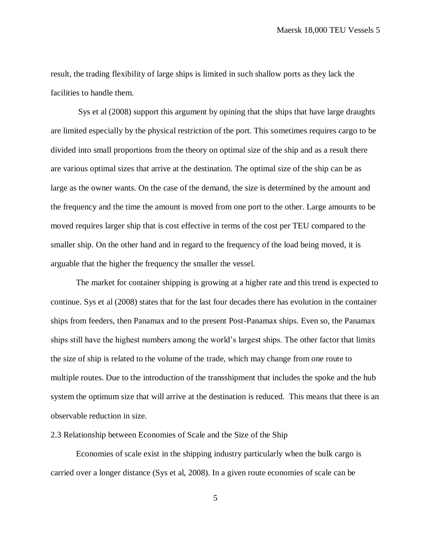result, the trading flexibility of large ships is limited in such shallow ports as they lack the facilities to handle them.

Sys et al (2008) support this argument by opining that the ships that have large draughts are limited especially by the physical restriction of the port. This sometimes requires cargo to be divided into small proportions from the theory on optimal size of the ship and as a result there are various optimal sizes that arrive at the destination. The optimal size of the ship can be as large as the owner wants. On the case of the demand, the size is determined by the amount and the frequency and the time the amount is moved from one port to the other. Large amounts to be moved requires larger ship that is cost effective in terms of the cost per TEU compared to the smaller ship. On the other hand and in regard to the frequency of the load being moved, it is arguable that the higher the frequency the smaller the vessel.

The market for container shipping is growing at a higher rate and this trend is expected to continue. Sys et al (2008) states that for the last four decades there has evolution in the container ships from feeders, then Panamax and to the present Post-Panamax ships. Even so, the Panamax ships still have the highest numbers among the world's largest ships. The other factor that limits the size of ship is related to the volume of the trade, which may change from one route to multiple routes. Due to the introduction of the transshipment that includes the spoke and the hub system the optimum size that will arrive at the destination is reduced. This means that there is an observable reduction in size.

# <span id="page-19-0"></span>2.3 Relationship between Economies of Scale and the Size of the Ship

Economies of scale exist in the shipping industry particularly when the bulk cargo is carried over a longer distance (Sys et al, 2008). In a given route economies of scale can be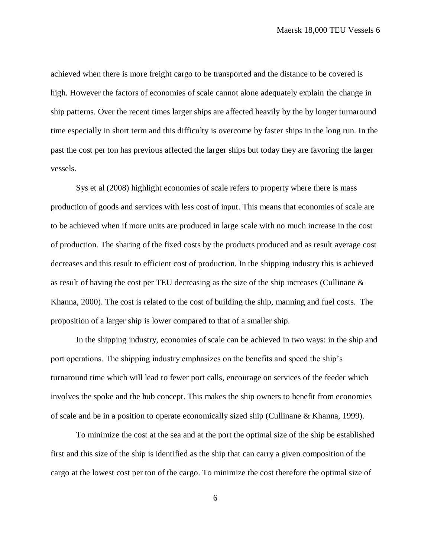achieved when there is more freight cargo to be transported and the distance to be covered is high. However the factors of economies of scale cannot alone adequately explain the change in ship patterns. Over the recent times larger ships are affected heavily by the by longer turnaround time especially in short term and this difficulty is overcome by faster ships in the long run. In the past the cost per ton has previous affected the larger ships but today they are favoring the larger vessels.

Sys et al (2008) highlight economies of scale refers to property where there is mass production of goods and services with less cost of input. This means that economies of scale are to be achieved when if more units are produced in large scale with no much increase in the cost of production. The sharing of the fixed costs by the products produced and as result average cost decreases and this result to efficient cost of production. In the shipping industry this is achieved as result of having the cost per TEU decreasing as the size of the ship increases (Cullinane & Khanna, 2000). The cost is related to the cost of building the ship, manning and fuel costs. The proposition of a larger ship is lower compared to that of a smaller ship.

In the shipping industry, economies of scale can be achieved in two ways: in the ship and port operations. The shipping industry emphasizes on the benefits and speed the ship's turnaround time which will lead to fewer port calls, encourage on services of the feeder which involves the spoke and the hub concept. This makes the ship owners to benefit from economies of scale and be in a position to operate economically sized ship (Cullinane & Khanna, 1999).

To minimize the cost at the sea and at the port the optimal size of the ship be established first and this size of the ship is identified as the ship that can carry a given composition of the cargo at the lowest cost per ton of the cargo. To minimize the cost therefore the optimal size of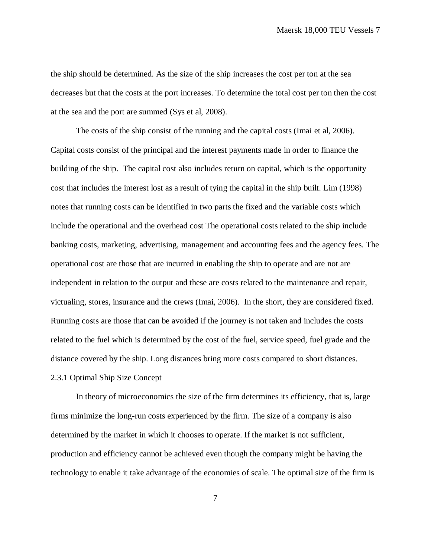the ship should be determined. As the size of the ship increases the cost per ton at the sea decreases but that the costs at the port increases. To determine the total cost per ton then the cost at the sea and the port are summed (Sys et al, 2008).

The costs of the ship consist of the running and the capital costs (Imai et al, 2006). Capital costs consist of the principal and the interest payments made in order to finance the building of the ship. The capital cost also includes return on capital, which is the opportunity cost that includes the interest lost as a result of tying the capital in the ship built. Lim (1998) notes that running costs can be identified in two parts the fixed and the variable costs which include the operational and the overhead cost The operational costs related to the ship include banking costs, marketing, advertising, management and accounting fees and the agency fees. The operational cost are those that are incurred in enabling the ship to operate and are not are independent in relation to the output and these are costs related to the maintenance and repair, victualing, stores, insurance and the crews (Imai, 2006). In the short, they are considered fixed. Running costs are those that can be avoided if the journey is not taken and includes the costs related to the fuel which is determined by the cost of the fuel, service speed, fuel grade and the distance covered by the ship. Long distances bring more costs compared to short distances. 2.3.1 Optimal Ship Size Concept

<span id="page-21-0"></span>In theory of microeconomics the size of the firm determines its efficiency, that is, large firms minimize the long-run costs experienced by the firm. The size of a company is also determined by the market in which it chooses to operate. If the market is not sufficient, production and efficiency cannot be achieved even though the company might be having the technology to enable it take advantage of the economies of scale. The optimal size of the firm is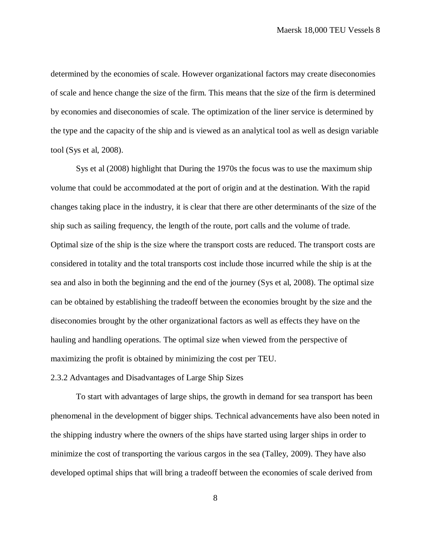determined by the economies of scale. However organizational factors may create diseconomies of scale and hence change the size of the firm. This means that the size of the firm is determined by economies and diseconomies of scale. The optimization of the liner service is determined by the type and the capacity of the ship and is viewed as an analytical tool as well as design variable tool (Sys et al, 2008).

Sys et al (2008) highlight that During the 1970s the focus was to use the maximum ship volume that could be accommodated at the port of origin and at the destination. With the rapid changes taking place in the industry, it is clear that there are other determinants of the size of the ship such as sailing frequency, the length of the route, port calls and the volume of trade. Optimal size of the ship is the size where the transport costs are reduced. The transport costs are considered in totality and the total transports cost include those incurred while the ship is at the sea and also in both the beginning and the end of the journey (Sys et al, 2008). The optimal size can be obtained by establishing the tradeoff between the economies brought by the size and the diseconomies brought by the other organizational factors as well as effects they have on the hauling and handling operations. The optimal size when viewed from the perspective of maximizing the profit is obtained by minimizing the cost per TEU.

# <span id="page-22-0"></span>2.3.2 Advantages and Disadvantages of Large Ship Sizes

To start with advantages of large ships, the growth in demand for sea transport has been phenomenal in the development of bigger ships. Technical advancements have also been noted in the shipping industry where the owners of the ships have started using larger ships in order to minimize the cost of transporting the various cargos in the sea (Talley, 2009). They have also developed optimal ships that will bring a tradeoff between the economies of scale derived from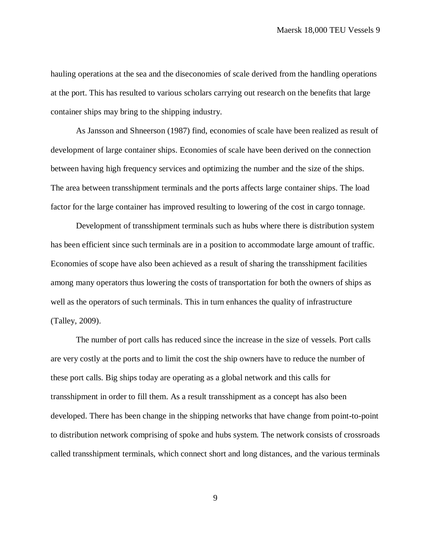hauling operations at the sea and the diseconomies of scale derived from the handling operations at the port. This has resulted to various scholars carrying out research on the benefits that large container ships may bring to the shipping industry.

As Jansson and Shneerson (1987) find, economies of scale have been realized as result of development of large container ships. Economies of scale have been derived on the connection between having high frequency services and optimizing the number and the size of the ships. The area between transshipment terminals and the ports affects large container ships. The load factor for the large container has improved resulting to lowering of the cost in cargo tonnage.

Development of transshipment terminals such as hubs where there is distribution system has been efficient since such terminals are in a position to accommodate large amount of traffic. Economies of scope have also been achieved as a result of sharing the transshipment facilities among many operators thus lowering the costs of transportation for both the owners of ships as well as the operators of such terminals. This in turn enhances the quality of infrastructure (Talley, 2009).

The number of port calls has reduced since the increase in the size of vessels. Port calls are very costly at the ports and to limit the cost the ship owners have to reduce the number of these port calls. Big ships today are operating as a global network and this calls for transshipment in order to fill them. As a result transshipment as a concept has also been developed. There has been change in the shipping networks that have change from point-to-point to distribution network comprising of spoke and hubs system. The network consists of crossroads called transshipment terminals, which connect short and long distances, and the various terminals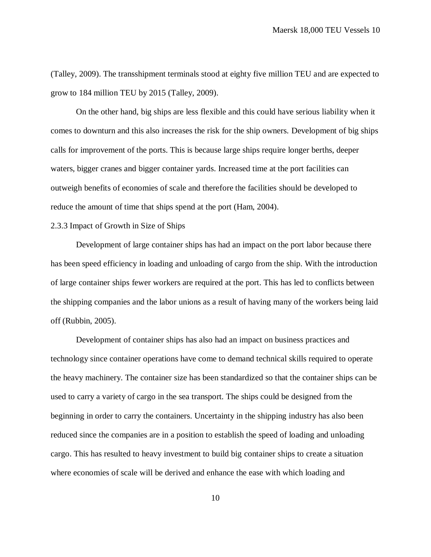(Talley, 2009). The transshipment terminals stood at eighty five million TEU and are expected to grow to 184 million TEU by 2015 (Talley, 2009).

On the other hand, big ships are less flexible and this could have serious liability when it comes to downturn and this also increases the risk for the ship owners. Development of big ships calls for improvement of the ports. This is because large ships require longer berths, deeper waters, bigger cranes and bigger container yards. Increased time at the port facilities can outweigh benefits of economies of scale and therefore the facilities should be developed to reduce the amount of time that ships spend at the port (Ham, 2004).

#### <span id="page-24-0"></span>2.3.3 Impact of Growth in Size of Ships

Development of large container ships has had an impact on the port labor because there has been speed efficiency in loading and unloading of cargo from the ship. With the introduction of large container ships fewer workers are required at the port. This has led to conflicts between the shipping companies and the labor unions as a result of having many of the workers being laid off (Rubbin, 2005).

Development of container ships has also had an impact on business practices and technology since container operations have come to demand technical skills required to operate the heavy machinery. The container size has been standardized so that the container ships can be used to carry a variety of cargo in the sea transport. The ships could be designed from the beginning in order to carry the containers. Uncertainty in the shipping industry has also been reduced since the companies are in a position to establish the speed of loading and unloading cargo. This has resulted to heavy investment to build big container ships to create a situation where economies of scale will be derived and enhance the ease with which loading and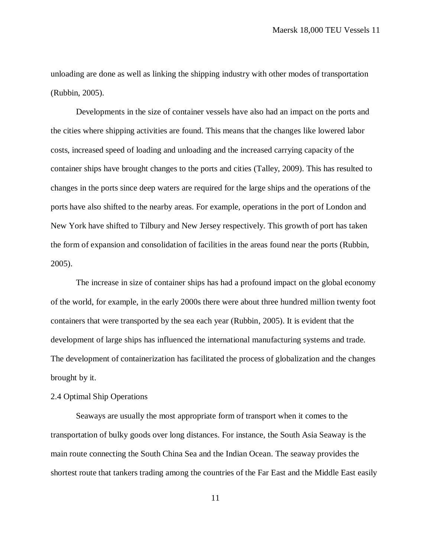unloading are done as well as linking the shipping industry with other modes of transportation (Rubbin, 2005).

Developments in the size of container vessels have also had an impact on the ports and the cities where shipping activities are found. This means that the changes like lowered labor costs, increased speed of loading and unloading and the increased carrying capacity of the container ships have brought changes to the ports and cities (Talley, 2009). This has resulted to changes in the ports since deep waters are required for the large ships and the operations of the ports have also shifted to the nearby areas. For example, operations in the port of London and New York have shifted to Tilbury and New Jersey respectively. This growth of port has taken the form of expansion and consolidation of facilities in the areas found near the ports (Rubbin, 2005).

The increase in size of container ships has had a profound impact on the global economy of the world, for example, in the early 2000s there were about three hundred million twenty foot containers that were transported by the sea each year (Rubbin, 2005). It is evident that the development of large ships has influenced the international manufacturing systems and trade. The development of containerization has facilitated the process of globalization and the changes brought by it.

### <span id="page-25-0"></span>2.4 Optimal Ship Operations

Seaways are usually the most appropriate form of transport when it comes to the transportation of bulky goods over long distances. For instance, the South Asia Seaway is the main route connecting the South China Sea and the Indian Ocean. The seaway provides the shortest route that tankers trading among the countries of the Far East and the Middle East easily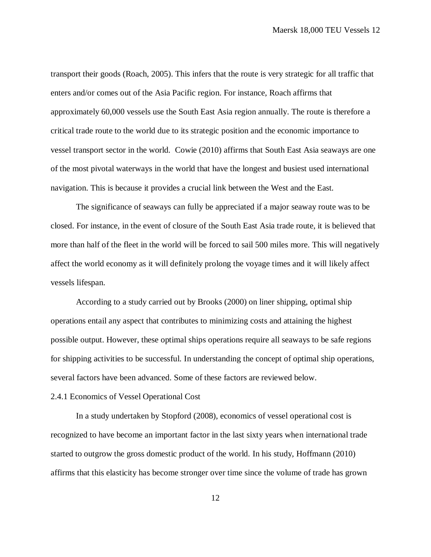transport their goods (Roach, 2005). This infers that the route is very strategic for all traffic that enters and/or comes out of the Asia Pacific region. For instance, Roach affirms that approximately 60,000 vessels use the South East Asia region annually. The route is therefore a critical trade route to the world due to its strategic position and the economic importance to vessel transport sector in the world. Cowie (2010) affirms that South East Asia seaways are one of the most pivotal waterways in the world that have the longest and busiest used international navigation. This is because it provides a crucial link between the West and the East.

The significance of seaways can fully be appreciated if a major seaway route was to be closed. For instance, in the event of closure of the South East Asia trade route, it is believed that more than half of the fleet in the world will be forced to sail 500 miles more. This will negatively affect the world economy as it will definitely prolong the voyage times and it will likely affect vessels lifespan.

According to a study carried out by Brooks (2000) on liner shipping, optimal ship operations entail any aspect that contributes to minimizing costs and attaining the highest possible output. However, these optimal ships operations require all seaways to be safe regions for shipping activities to be successful. In understanding the concept of optimal ship operations, several factors have been advanced. Some of these factors are reviewed below.

# <span id="page-26-0"></span>2.4.1 Economics of Vessel Operational Cost

In a study undertaken by Stopford (2008), economics of vessel operational cost is recognized to have become an important factor in the last sixty years when international trade started to outgrow the gross domestic product of the world. In his study, Hoffmann (2010) affirms that this elasticity has become stronger over time since the volume of trade has grown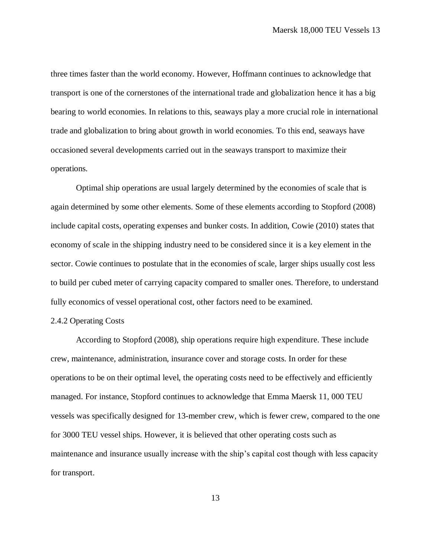three times faster than the world economy. However, Hoffmann continues to acknowledge that transport is one of the cornerstones of the international trade and globalization hence it has a big bearing to world economies. In relations to this, seaways play a more crucial role in international trade and globalization to bring about growth in world economies. To this end, seaways have occasioned several developments carried out in the seaways transport to maximize their operations.

Optimal ship operations are usual largely determined by the economies of scale that is again determined by some other elements. Some of these elements according to Stopford (2008) include capital costs, operating expenses and bunker costs. In addition, Cowie (2010) states that economy of scale in the shipping industry need to be considered since it is a key element in the sector. Cowie continues to postulate that in the economies of scale, larger ships usually cost less to build per cubed meter of carrying capacity compared to smaller ones. Therefore, to understand fully economics of vessel operational cost, other factors need to be examined.

## <span id="page-27-0"></span>2.4.2 Operating Costs

According to Stopford (2008), ship operations require high expenditure. These include crew, maintenance, administration, insurance cover and storage costs. In order for these operations to be on their optimal level, the operating costs need to be effectively and efficiently managed. For instance, Stopford continues to acknowledge that Emma Maersk 11, 000 TEU vessels was specifically designed for 13-member crew, which is fewer crew, compared to the one for 3000 TEU vessel ships. However, it is believed that other operating costs such as maintenance and insurance usually increase with the ship's capital cost though with less capacity for transport.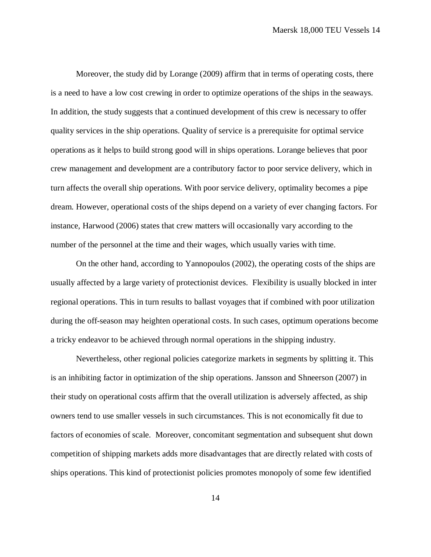Moreover, the study did by Lorange (2009) affirm that in terms of operating costs, there is a need to have a low cost crewing in order to optimize operations of the ships in the seaways. In addition, the study suggests that a continued development of this crew is necessary to offer quality services in the ship operations. Quality of service is a prerequisite for optimal service operations as it helps to build strong good will in ships operations. Lorange believes that poor crew management and development are a contributory factor to poor service delivery, which in turn affects the overall ship operations. With poor service delivery, optimality becomes a pipe dream. However, operational costs of the ships depend on a variety of ever changing factors. For instance, Harwood (2006) states that crew matters will occasionally vary according to the number of the personnel at the time and their wages, which usually varies with time.

On the other hand, according to Yannopoulos (2002), the operating costs of the ships are usually affected by a large variety of protectionist devices. Flexibility is usually blocked in inter regional operations. This in turn results to ballast voyages that if combined with poor utilization during the off-season may heighten operational costs. In such cases, optimum operations become a tricky endeavor to be achieved through normal operations in the shipping industry.

Nevertheless, other regional policies categorize markets in segments by splitting it. This is an inhibiting factor in optimization of the ship operations. Jansson and Shneerson (2007) in their study on operational costs affirm that the overall utilization is adversely affected, as ship owners tend to use smaller vessels in such circumstances. This is not economically fit due to factors of economies of scale. Moreover, concomitant segmentation and subsequent shut down competition of shipping markets adds more disadvantages that are directly related with costs of ships operations. This kind of protectionist policies promotes monopoly of some few identified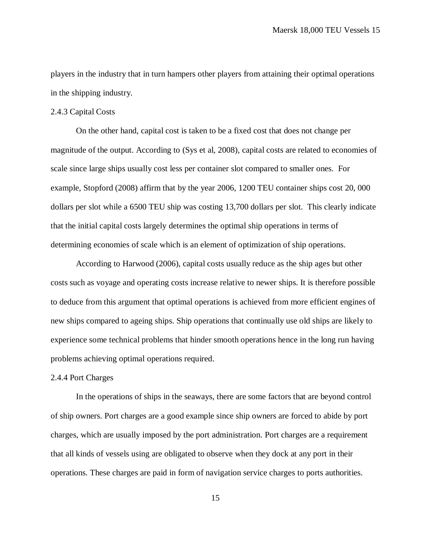players in the industry that in turn hampers other players from attaining their optimal operations in the shipping industry.

# <span id="page-29-0"></span>2.4.3 Capital Costs

On the other hand, capital cost is taken to be a fixed cost that does not change per magnitude of the output. According to (Sys et al, 2008), capital costs are related to economies of scale since large ships usually cost less per container slot compared to smaller ones. For example, Stopford (2008) affirm that by the year 2006, 1200 TEU container ships cost 20, 000 dollars per slot while a 6500 TEU ship was costing 13,700 dollars per slot. This clearly indicate that the initial capital costs largely determines the optimal ship operations in terms of determining economies of scale which is an element of optimization of ship operations.

According to Harwood (2006), capital costs usually reduce as the ship ages but other costs such as voyage and operating costs increase relative to newer ships. It is therefore possible to deduce from this argument that optimal operations is achieved from more efficient engines of new ships compared to ageing ships. Ship operations that continually use old ships are likely to experience some technical problems that hinder smooth operations hence in the long run having problems achieving optimal operations required.

# <span id="page-29-1"></span>2.4.4 Port Charges

In the operations of ships in the seaways, there are some factors that are beyond control of ship owners. Port charges are a good example since ship owners are forced to abide by port charges, which are usually imposed by the port administration. Port charges are a requirement that all kinds of vessels using are obligated to observe when they dock at any port in their operations. These charges are paid in form of navigation service charges to ports authorities.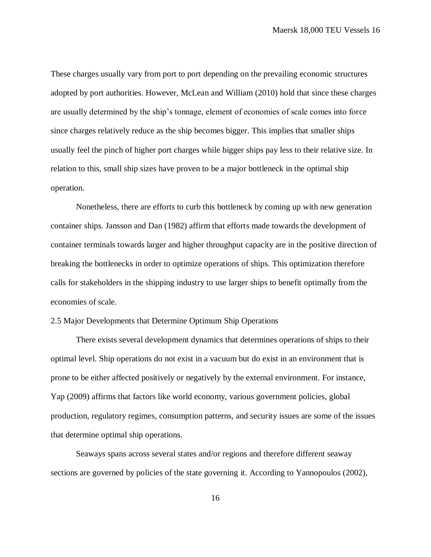These charges usually vary from port to port depending on the prevailing economic structures adopted by port authorities. However, McLean and William (2010) hold that since these charges are usually determined by the ship's tonnage, element of economies of scale comes into force since charges relatively reduce as the ship becomes bigger. This implies that smaller ships usually feel the pinch of higher port charges while bigger ships pay less to their relative size. In relation to this, small ship sizes have proven to be a major bottleneck in the optimal ship operation.

Nonetheless, there are efforts to curb this bottleneck by coming up with new generation container ships. Jansson and Dan (1982) affirm that efforts made towards the development of container terminals towards larger and higher throughput capacity are in the positive direction of breaking the bottlenecks in order to optimize operations of ships. This optimization therefore calls for stakeholders in the shipping industry to use larger ships to benefit optimally from the economies of scale.

# <span id="page-30-0"></span>2.5 Major Developments that Determine Optimum Ship Operations

There exists several development dynamics that determines operations of ships to their optimal level. Ship operations do not exist in a vacuum but do exist in an environment that is prone to be either affected positively or negatively by the external environment. For instance, Yap (2009) affirms that factors like world economy, various government policies, global production, regulatory regimes, consumption patterns, and security issues are some of the issues that determine optimal ship operations.

Seaways spans across several states and/or regions and therefore different seaway sections are governed by policies of the state governing it. According to Yannopoulos (2002),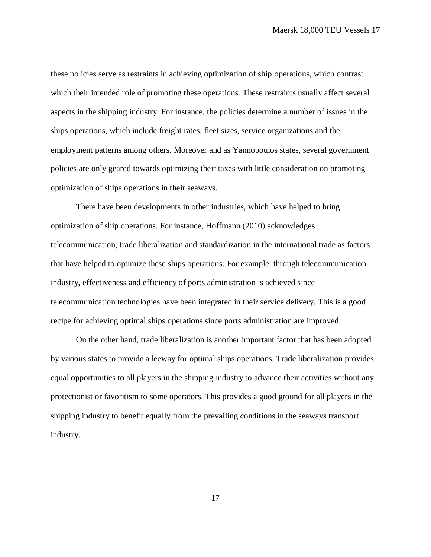these policies serve as restraints in achieving optimization of ship operations, which contrast which their intended role of promoting these operations. These restraints usually affect several aspects in the shipping industry. For instance, the policies determine a number of issues in the ships operations, which include freight rates, fleet sizes, service organizations and the employment patterns among others. Moreover and as Yannopoulos states, several government policies are only geared towards optimizing their taxes with little consideration on promoting optimization of ships operations in their seaways.

There have been developments in other industries, which have helped to bring optimization of ship operations. For instance, Hoffmann (2010) acknowledges telecommunication, trade liberalization and standardization in the international trade as factors that have helped to optimize these ships operations. For example, through telecommunication industry, effectiveness and efficiency of ports administration is achieved since telecommunication technologies have been integrated in their service delivery. This is a good recipe for achieving optimal ships operations since ports administration are improved.

On the other hand, trade liberalization is another important factor that has been adopted by various states to provide a leeway for optimal ships operations. Trade liberalization provides equal opportunities to all players in the shipping industry to advance their activities without any protectionist or favoritism to some operators. This provides a good ground for all players in the shipping industry to benefit equally from the prevailing conditions in the seaways transport industry.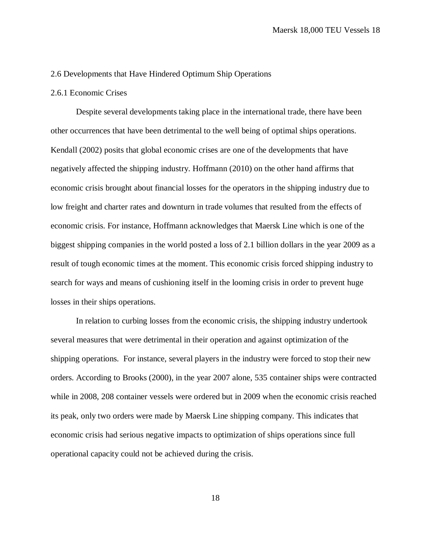# <span id="page-32-0"></span>2.6 Developments that Have Hindered Optimum Ship Operations

# <span id="page-32-1"></span>2.6.1 Economic Crises

Despite several developments taking place in the international trade, there have been other occurrences that have been detrimental to the well being of optimal ships operations. Kendall (2002) posits that global economic crises are one of the developments that have negatively affected the shipping industry. Hoffmann (2010) on the other hand affirms that economic crisis brought about financial losses for the operators in the shipping industry due to low freight and charter rates and downturn in trade volumes that resulted from the effects of economic crisis. For instance, Hoffmann acknowledges that Maersk Line which is one of the biggest shipping companies in the world posted a loss of 2.1 billion dollars in the year 2009 as a result of tough economic times at the moment. This economic crisis forced shipping industry to search for ways and means of cushioning itself in the looming crisis in order to prevent huge losses in their ships operations.

In relation to curbing losses from the economic crisis, the shipping industry undertook several measures that were detrimental in their operation and against optimization of the shipping operations. For instance, several players in the industry were forced to stop their new orders. According to Brooks (2000), in the year 2007 alone, 535 container ships were contracted while in 2008, 208 container vessels were ordered but in 2009 when the economic crisis reached its peak, only two orders were made by Maersk Line shipping company. This indicates that economic crisis had serious negative impacts to optimization of ships operations since full operational capacity could not be achieved during the crisis.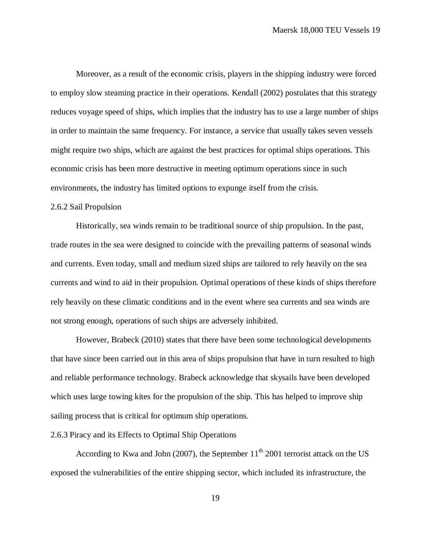Moreover, as a result of the economic crisis, players in the shipping industry were forced to employ slow steaming practice in their operations. Kendall (2002) postulates that this strategy reduces voyage speed of ships, which implies that the industry has to use a large number of ships in order to maintain the same frequency. For instance, a service that usually takes seven vessels might require two ships, which are against the best practices for optimal ships operations. This economic crisis has been more destructive in meeting optimum operations since in such environments, the industry has limited options to expunge itself from the crisis.

## <span id="page-33-0"></span>2.6.2 Sail Propulsion

Historically, sea winds remain to be traditional source of ship propulsion. In the past, trade routes in the sea were designed to coincide with the prevailing patterns of seasonal winds and currents. Even today, small and medium sized ships are tailored to rely heavily on the sea currents and wind to aid in their propulsion. Optimal operations of these kinds of ships therefore rely heavily on these climatic conditions and in the event where sea currents and sea winds are not strong enough, operations of such ships are adversely inhibited.

However, Brabeck (2010) states that there have been some technological developments that have since been carried out in this area of ships propulsion that have in turn resulted to high and reliable performance technology. Brabeck acknowledge that skysails have been developed which uses large towing kites for the propulsion of the ship. This has helped to improve ship sailing process that is critical for optimum ship operations.

## <span id="page-33-1"></span>2.6.3 Piracy and its Effects to Optimal Ship Operations

According to Kwa and John (2007), the September  $11<sup>th</sup>$  2001 terrorist attack on the US exposed the vulnerabilities of the entire shipping sector, which included its infrastructure, the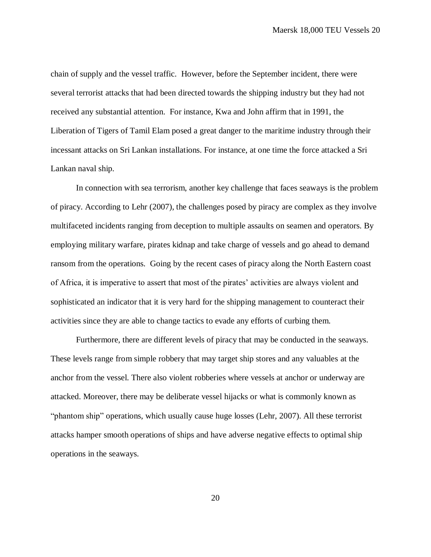chain of supply and the vessel traffic. However, before the September incident, there were several terrorist attacks that had been directed towards the shipping industry but they had not received any substantial attention. For instance, Kwa and John affirm that in 1991, the Liberation of Tigers of Tamil Elam posed a great danger to the maritime industry through their incessant attacks on Sri Lankan installations. For instance, at one time the force attacked a Sri Lankan naval ship.

In connection with sea terrorism, another key challenge that faces seaways is the problem of piracy. According to Lehr (2007), the challenges posed by piracy are complex as they involve multifaceted incidents ranging from deception to multiple assaults on seamen and operators. By employing military warfare, pirates kidnap and take charge of vessels and go ahead to demand ransom from the operations. Going by the recent cases of piracy along the North Eastern coast of Africa, it is imperative to assert that most of the pirates' activities are always violent and sophisticated an indicator that it is very hard for the shipping management to counteract their activities since they are able to change tactics to evade any efforts of curbing them.

Furthermore, there are different levels of piracy that may be conducted in the seaways. These levels range from simple robbery that may target ship stores and any valuables at the anchor from the vessel. There also violent robberies where vessels at anchor or underway are attacked. Moreover, there may be deliberate vessel hijacks or what is commonly known as "phantom ship" operations, which usually cause huge losses (Lehr, 2007). All these terrorist attacks hamper smooth operations of ships and have adverse negative effects to optimal ship operations in the seaways.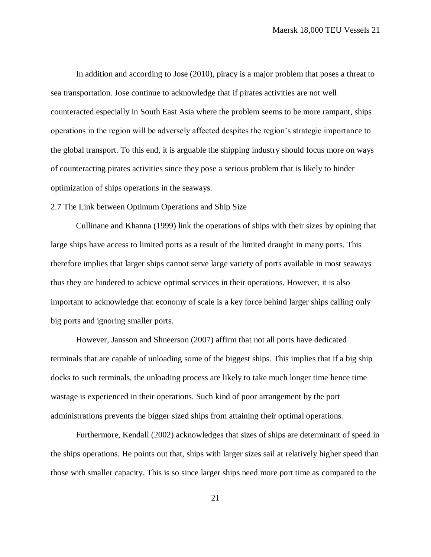In addition and according to Jose (2010), piracy is a major problem that poses a threat to sea transportation. Jose continue to acknowledge that if pirates activities are not well counteracted especially in South East Asia where the problem seems to be more rampant, ships operations in the region will be adversely affected despites the region's strategic importance to the global transport. To this end, it is arguable the shipping industry should focus more on ways of counteracting pirates activities since they pose a serious problem that is likely to hinder optimization of ships operations in the seaways.

<span id="page-35-0"></span>2.7 The Link between Optimum Operations and Ship Size

Cullinane and Khanna (1999) link the operations of ships with their sizes by opining that large ships have access to limited ports as a result of the limited draught in many ports. This therefore implies that larger ships cannot serve large variety of ports available in most seaways thus they are hindered to achieve optimal services in their operations. However, it is also important to acknowledge that economy of scale is a key force behind larger ships calling only big ports and ignoring smaller ports.

However, Jansson and Shneerson (2007) affirm that not all ports have dedicated terminals that are capable of unloading some of the biggest ships. This implies that if a big ship docks to such terminals, the unloading process are likely to take much longer time hence time wastage is experienced in their operations. Such kind of poor arrangement by the port administrations prevents the bigger sized ships from attaining their optimal operations.

Furthermore, Kendall (2002) acknowledges that sizes of ships are determinant of speed in the ships operations. He points out that, ships with larger sizes sail at relatively higher speed than those with smaller capacity. This is so since larger ships need more port time as compared to the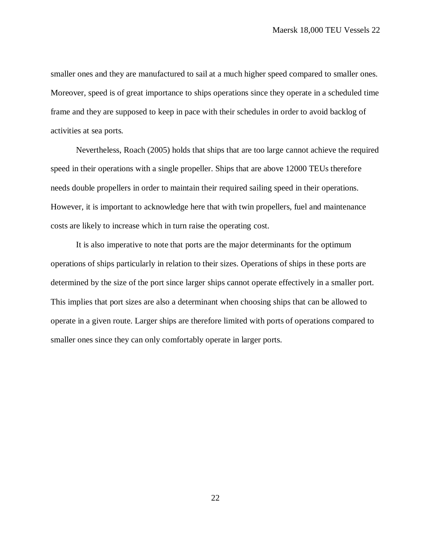smaller ones and they are manufactured to sail at a much higher speed compared to smaller ones. Moreover, speed is of great importance to ships operations since they operate in a scheduled time frame and they are supposed to keep in pace with their schedules in order to avoid backlog of activities at sea ports.

Nevertheless, Roach (2005) holds that ships that are too large cannot achieve the required speed in their operations with a single propeller. Ships that are above 12000 TEUs therefore needs double propellers in order to maintain their required sailing speed in their operations. However, it is important to acknowledge here that with twin propellers, fuel and maintenance costs are likely to increase which in turn raise the operating cost.

It is also imperative to note that ports are the major determinants for the optimum operations of ships particularly in relation to their sizes. Operations of ships in these ports are determined by the size of the port since larger ships cannot operate effectively in a smaller port. This implies that port sizes are also a determinant when choosing ships that can be allowed to operate in a given route. Larger ships are therefore limited with ports of operations compared to smaller ones since they can only comfortably operate in larger ports.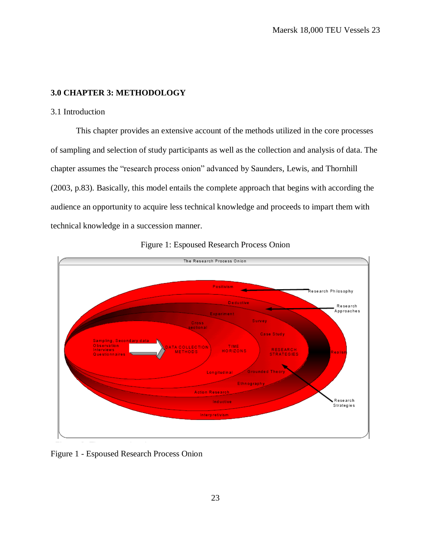# <span id="page-37-0"></span>**3.0 CHAPTER 3: METHODOLOGY**

## <span id="page-37-1"></span>3.1 Introduction

This chapter provides an extensive account of the methods utilized in the core processes of sampling and selection of study participants as well as the collection and analysis of data. The chapter assumes the "research process onion" advanced by Saunders, Lewis, and Thornhill (2003, p.83). Basically, this model entails the complete approach that begins with according the audience an opportunity to acquire less technical knowledge and proceeds to impart them with technical knowledge in a succession manner.





<span id="page-37-2"></span>Figure 1 - Espoused Research Process Onion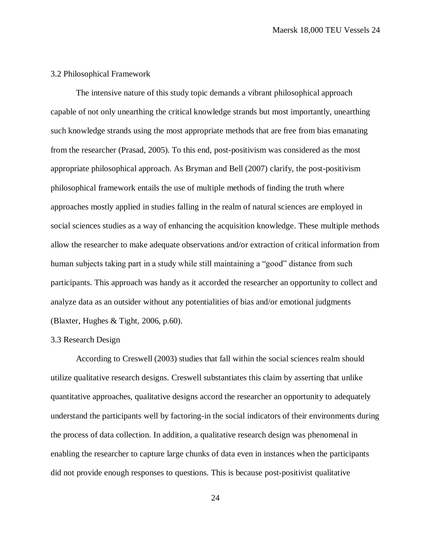#### <span id="page-38-0"></span>3.2 Philosophical Framework

The intensive nature of this study topic demands a vibrant philosophical approach capable of not only unearthing the critical knowledge strands but most importantly, unearthing such knowledge strands using the most appropriate methods that are free from bias emanating from the researcher (Prasad, 2005). To this end, post-positivism was considered as the most appropriate philosophical approach. As Bryman and Bell (2007) clarify, the post-positivism philosophical framework entails the use of multiple methods of finding the truth where approaches mostly applied in studies falling in the realm of natural sciences are employed in social sciences studies as a way of enhancing the acquisition knowledge. These multiple methods allow the researcher to make adequate observations and/or extraction of critical information from human subjects taking part in a study while still maintaining a "good" distance from such participants. This approach was handy as it accorded the researcher an opportunity to collect and analyze data as an outsider without any potentialities of bias and/or emotional judgments (Blaxter, Hughes & Tight, 2006, p.60).

#### <span id="page-38-1"></span>3.3 Research Design

According to Creswell (2003) studies that fall within the social sciences realm should utilize qualitative research designs. Creswell substantiates this claim by asserting that unlike quantitative approaches, qualitative designs accord the researcher an opportunity to adequately understand the participants well by factoring-in the social indicators of their environments during the process of data collection. In addition, a qualitative research design was phenomenal in enabling the researcher to capture large chunks of data even in instances when the participants did not provide enough responses to questions. This is because post-positivist qualitative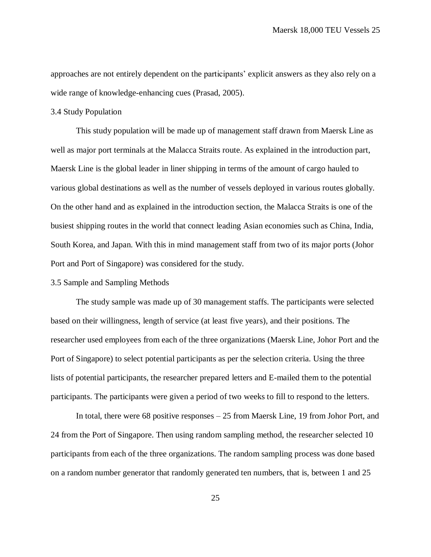approaches are not entirely dependent on the participants' explicit answers as they also rely on a wide range of knowledge-enhancing cues (Prasad, 2005).

## <span id="page-39-0"></span>3.4 Study Population

This study population will be made up of management staff drawn from Maersk Line as well as major port terminals at the Malacca Straits route. As explained in the introduction part, Maersk Line is the global leader in liner shipping in terms of the amount of cargo hauled to various global destinations as well as the number of vessels deployed in various routes globally. On the other hand and as explained in the introduction section, the Malacca Straits is one of the busiest shipping routes in the world that connect leading Asian economies such as China, India, South Korea, and Japan. With this in mind management staff from two of its major ports (Johor Port and Port of Singapore) was considered for the study.

# <span id="page-39-1"></span>3.5 Sample and Sampling Methods

The study sample was made up of 30 management staffs. The participants were selected based on their willingness, length of service (at least five years), and their positions. The researcher used employees from each of the three organizations (Maersk Line, Johor Port and the Port of Singapore) to select potential participants as per the selection criteria. Using the three lists of potential participants, the researcher prepared letters and E-mailed them to the potential participants. The participants were given a period of two weeks to fill to respond to the letters.

In total, there were 68 positive responses – 25 from Maersk Line, 19 from Johor Port, and 24 from the Port of Singapore. Then using random sampling method, the researcher selected 10 participants from each of the three organizations. The random sampling process was done based on a random number generator that randomly generated ten numbers, that is, between 1 and 25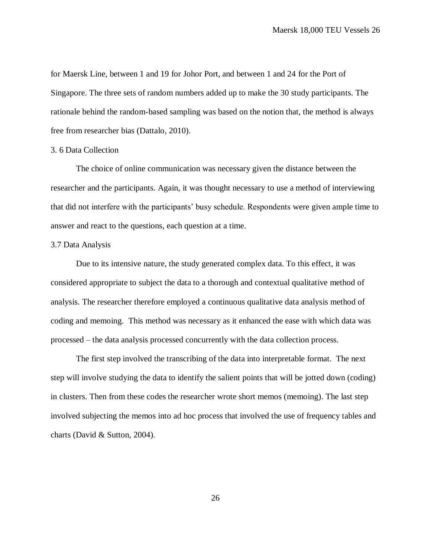for Maersk Line, between 1 and 19 for Johor Port, and between 1 and 24 for the Port of Singapore. The three sets of random numbers added up to make the 30 study participants. The rationale behind the random-based sampling was based on the notion that, the method is always free from researcher bias (Dattalo, 2010).

#### <span id="page-40-0"></span>3. 6 Data Collection

The choice of online communication was necessary given the distance between the researcher and the participants. Again, it was thought necessary to use a method of interviewing that did not interfere with the participants' busy schedule. Respondents were given ample time to answer and react to the questions, each question at a time.

#### <span id="page-40-1"></span>3.7 Data Analysis

Due to its intensive nature, the study generated complex data. To this effect, it was considered appropriate to subject the data to a thorough and contextual qualitative method of analysis. The researcher therefore employed a continuous qualitative data analysis method of coding and memoing. This method was necessary as it enhanced the ease with which data was processed – the data analysis processed concurrently with the data collection process.

The first step involved the transcribing of the data into interpretable format. The next step will involve studying the data to identify the salient points that will be jotted down (coding) in clusters. Then from these codes the researcher wrote short memos (memoing). The last step involved subjecting the memos into ad hoc process that involved the use of frequency tables and charts (David & Sutton, 2004).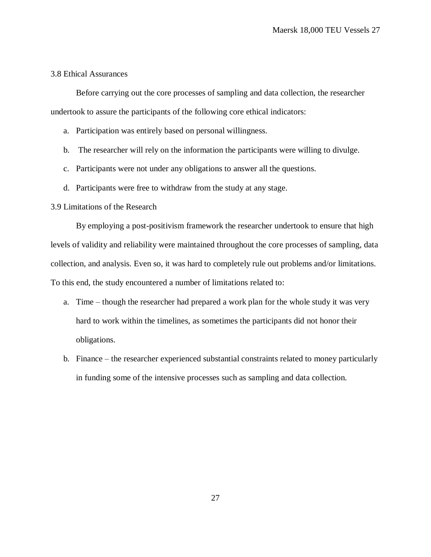# <span id="page-41-0"></span>3.8 Ethical Assurances

Before carrying out the core processes of sampling and data collection, the researcher undertook to assure the participants of the following core ethical indicators:

- a. Participation was entirely based on personal willingness.
- b. The researcher will rely on the information the participants were willing to divulge.
- c. Participants were not under any obligations to answer all the questions.
- d. Participants were free to withdraw from the study at any stage.

# <span id="page-41-1"></span>3.9 Limitations of the Research

By employing a post-positivism framework the researcher undertook to ensure that high levels of validity and reliability were maintained throughout the core processes of sampling, data collection, and analysis. Even so, it was hard to completely rule out problems and/or limitations. To this end, the study encountered a number of limitations related to:

- a. Time though the researcher had prepared a work plan for the whole study it was very hard to work within the timelines, as sometimes the participants did not honor their obligations.
- b. Finance the researcher experienced substantial constraints related to money particularly in funding some of the intensive processes such as sampling and data collection.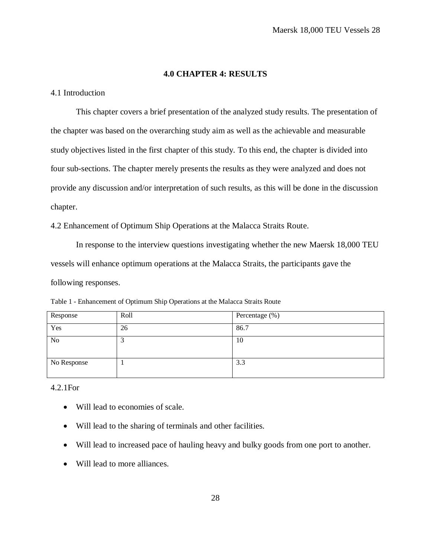# **4.0 CHAPTER 4: RESULTS**

# <span id="page-42-1"></span><span id="page-42-0"></span>4.1 Introduction

This chapter covers a brief presentation of the analyzed study results. The presentation of the chapter was based on the overarching study aim as well as the achievable and measurable study objectives listed in the first chapter of this study. To this end, the chapter is divided into four sub-sections. The chapter merely presents the results as they were analyzed and does not provide any discussion and/or interpretation of such results, as this will be done in the discussion chapter.

<span id="page-42-2"></span>4.2 Enhancement of Optimum Ship Operations at the Malacca Straits Route.

In response to the interview questions investigating whether the new Maersk 18,000 TEU vessels will enhance optimum operations at the Malacca Straits, the participants gave the following responses.

| Response       | Roll    | Percentage (%) |
|----------------|---------|----------------|
| Yes            | 26      | 86.7           |
| N <sub>o</sub> | ◠<br>لہ | 10             |
| No Response    |         | 3.3            |

<span id="page-42-4"></span>Table 1 - Enhancement of Optimum Ship Operations at the Malacca Straits Route

<span id="page-42-3"></span>4.2.1For

- Will lead to economies of scale.
- Will lead to the sharing of terminals and other facilities.
- Will lead to increased pace of hauling heavy and bulky goods from one port to another.
- Will lead to more alliances.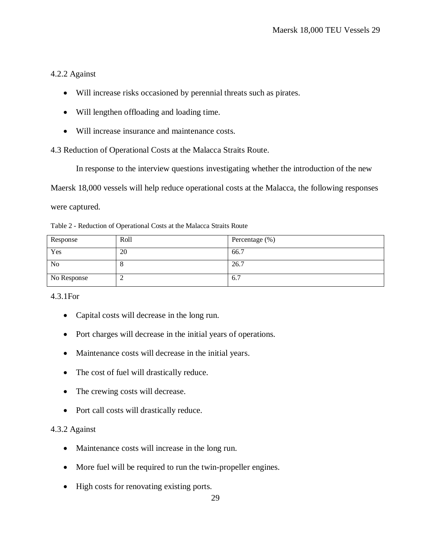# <span id="page-43-0"></span>4.2.2 Against

- Will increase risks occasioned by perennial threats such as pirates.
- Will lengthen offloading and loading time.
- Will increase insurance and maintenance costs.

<span id="page-43-1"></span>4.3 Reduction of Operational Costs at the Malacca Straits Route.

In response to the interview questions investigating whether the introduction of the new

Maersk 18,000 vessels will help reduce operational costs at the Malacca, the following responses

were captured.

<span id="page-43-4"></span>Table 2 - Reduction of Operational Costs at the Malacca Straits Route

| Response       | Roll | Percentage (%) |
|----------------|------|----------------|
| Yes            | 20   | 66.7           |
| N <sub>o</sub> | O    | 26.7           |
| No Response    | ∼    | 6.7            |

# <span id="page-43-2"></span>4.3.1For

- Capital costs will decrease in the long run.
- Port charges will decrease in the initial years of operations.
- Maintenance costs will decrease in the initial years.
- The cost of fuel will drastically reduce.
- The crewing costs will decrease.
- Port call costs will drastically reduce.

# <span id="page-43-3"></span>4.3.2 Against

- Maintenance costs will increase in the long run.
- More fuel will be required to run the twin-propeller engines.
- High costs for renovating existing ports.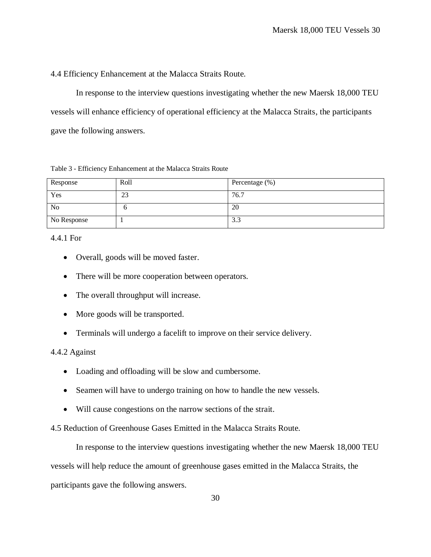<span id="page-44-0"></span>4.4 Efficiency Enhancement at the Malacca Straits Route.

In response to the interview questions investigating whether the new Maersk 18,000 TEU vessels will enhance efficiency of operational efficiency at the Malacca Straits, the participants gave the following answers.

<span id="page-44-4"></span>

|  |  | Table 3 - Efficiency Enhancement at the Malacca Straits Route |  |  |  |
|--|--|---------------------------------------------------------------|--|--|--|
|  |  |                                                               |  |  |  |

| Response    | Roll | Percentage (%) |
|-------------|------|----------------|
| Yes         | 23   | 76.7           |
| <b>No</b>   |      | 20             |
| No Response |      | 3.3            |

<span id="page-44-1"></span>4.4.1 For

- Overall, goods will be moved faster.
- There will be more cooperation between operators.
- The overall throughput will increase.
- More goods will be transported.
- Terminals will undergo a facelift to improve on their service delivery.

# <span id="page-44-2"></span>4.4.2 Against

- Loading and offloading will be slow and cumbersome.
- Seamen will have to undergo training on how to handle the new vessels.
- Will cause congestions on the narrow sections of the strait.

<span id="page-44-3"></span>4.5 Reduction of Greenhouse Gases Emitted in the Malacca Straits Route.

In response to the interview questions investigating whether the new Maersk 18,000 TEU vessels will help reduce the amount of greenhouse gases emitted in the Malacca Straits, the participants gave the following answers.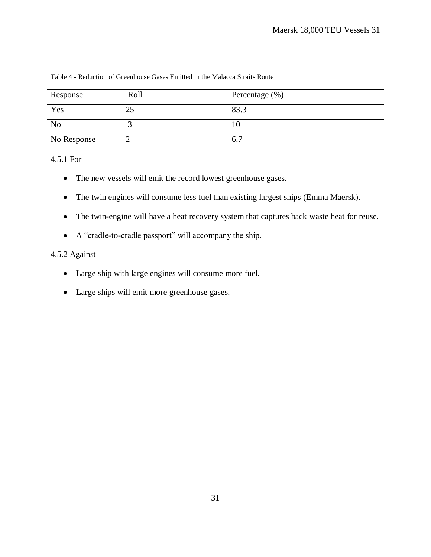| Response       | Roll | Percentage $(\%)$ |
|----------------|------|-------------------|
| Yes            | 25   | 83.3              |
| N <sub>o</sub> |      | 10                |
| No Response    |      | 6.7               |

# <span id="page-45-2"></span>Table 4 - Reduction of Greenhouse Gases Emitted in the Malacca Straits Route

<span id="page-45-0"></span>4.5.1 For

- The new vessels will emit the record lowest greenhouse gases.
- The twin engines will consume less fuel than existing largest ships (Emma Maersk).
- The twin-engine will have a heat recovery system that captures back waste heat for reuse.
- A "cradle-to-cradle passport" will accompany the ship.

# <span id="page-45-1"></span>4.5.2 Against

- Large ship with large engines will consume more fuel.
- Large ships will emit more greenhouse gases.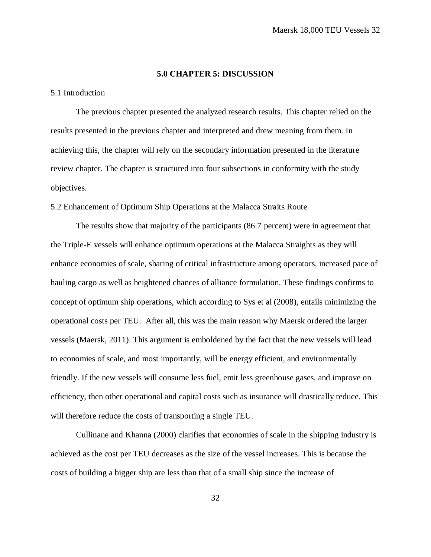## **5.0 CHAPTER 5: DISCUSSION**

# <span id="page-46-1"></span><span id="page-46-0"></span>5.1 Introduction

The previous chapter presented the analyzed research results. This chapter relied on the results presented in the previous chapter and interpreted and drew meaning from them. In achieving this, the chapter will rely on the secondary information presented in the literature review chapter. The chapter is structured into four subsections in conformity with the study objectives.

<span id="page-46-2"></span>5.2 Enhancement of Optimum Ship Operations at the Malacca Straits Route

The results show that majority of the participants (86.7 percent) were in agreement that the Triple-E vessels will enhance optimum operations at the Malacca Straights as they will enhance economies of scale, sharing of critical infrastructure among operators, increased pace of hauling cargo as well as heightened chances of alliance formulation. These findings confirms to concept of optimum ship operations, which according to Sys et al (2008), entails minimizing the operational costs per TEU. After all, this was the main reason why Maersk ordered the larger vessels (Maersk, 2011). This argument is emboldened by the fact that the new vessels will lead to economies of scale, and most importantly, will be energy efficient, and environmentally friendly. If the new vessels will consume less fuel, emit less greenhouse gases, and improve on efficiency, then other operational and capital costs such as insurance will drastically reduce. This will therefore reduce the costs of transporting a single TEU.

Cullinane and Khanna (2000) clarifies that economies of scale in the shipping industry is achieved as the cost per TEU decreases as the size of the vessel increases. This is because the costs of building a bigger ship are less than that of a small ship since the increase of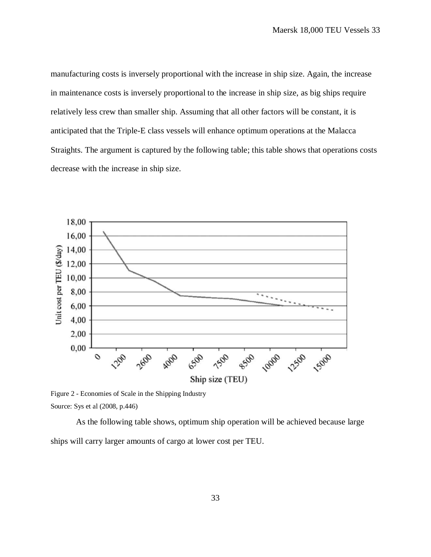manufacturing costs is inversely proportional with the increase in ship size. Again, the increase in maintenance costs is inversely proportional to the increase in ship size, as big ships require relatively less crew than smaller ship. Assuming that all other factors will be constant, it is anticipated that the Triple-E class vessels will enhance optimum operations at the Malacca Straights. The argument is captured by the following table; this table shows that operations costs decrease with the increase in ship size.



<span id="page-47-0"></span>Figure 2 - Economies of Scale in the Shipping Industry Source: Sys et al (2008, p.446)

As the following table shows, optimum ship operation will be achieved because large ships will carry larger amounts of cargo at lower cost per TEU.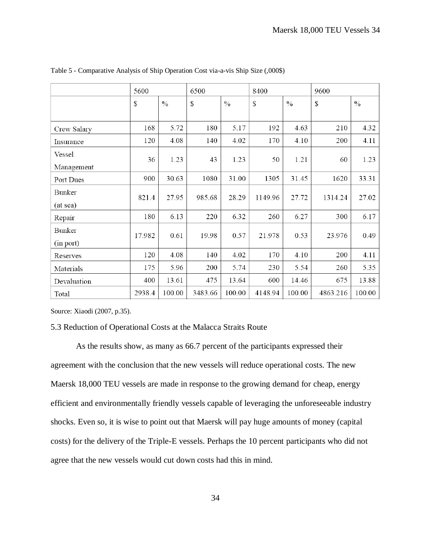|             | 5600   |               | 6500    |               | 8400    |               | 9600     |               |
|-------------|--------|---------------|---------|---------------|---------|---------------|----------|---------------|
|             | \$     | $\frac{0}{0}$ | \$      | $\frac{0}{0}$ | \$      | $\frac{0}{0}$ | \$       | $\frac{0}{0}$ |
|             |        |               |         |               |         |               |          |               |
| Crew Salary | 168    | 5.72          | 180     | 5.17          | 192     | 4.63          | 210      | 4.32          |
| Insurance   | 120    | 4.08          | 140     | 4.02          | 170     | 4.10          | 200      | 4.11          |
| Vessel      | 36     | 1.23          | 43      | 1.23          | 50      | 1.21          | 60       | 1.23          |
| Management  |        |               |         |               |         |               |          |               |
| Port Dues   | 900    | 30.63         | 1080    | 31.00         | 1305    | 31.45         | 1620     | 33.31         |
| Bunker      | 821.4  | 27.95         | 985.68  | 28.29         | 1149.96 | 27.72         | 1314.24  | 27.02         |
| (at sea)    |        |               |         |               |         |               |          |               |
| Repair      | 180    | 6.13          | 220     | 6.32          | 260     | 6.27          | 300      | 6.17          |
| Bunker      | 17.982 | 0.61          | 19.98   | 0.57          | 21.978  | 0.53          | 23.976   | 0.49          |
| (in port)   |        |               |         |               |         |               |          |               |
| Reserves    | 120    | 4.08          | 140     | 4.02          | 170     | 4.10          | 200      | 4.11          |
| Materials   | 175    | 5.96          | 200     | 5.74          | 230     | 5.54          | 260      | 5.35          |
| Devaluation | 400    | 13.61         | 475     | 13.64         | 600     | 14.46         | 675      | 13.88         |
| Total       | 2938.4 | 100.00        | 3483.66 | 100.00        | 4148.94 | 100.00        | 4863.216 | 100.00        |

<span id="page-48-1"></span>Table 5 - Comparative Analysis of Ship Operation Cost via-a-vis Ship Size (,000\$)

Source: Xiaodi (2007, p.35).

### <span id="page-48-0"></span>5.3 Reduction of Operational Costs at the Malacca Straits Route

As the results show, as many as 66.7 percent of the participants expressed their agreement with the conclusion that the new vessels will reduce operational costs. The new Maersk 18,000 TEU vessels are made in response to the growing demand for cheap, energy efficient and environmentally friendly vessels capable of leveraging the unforeseeable industry shocks. Even so, it is wise to point out that Maersk will pay huge amounts of money (capital costs) for the delivery of the Triple-E vessels. Perhaps the 10 percent participants who did not agree that the new vessels would cut down costs had this in mind.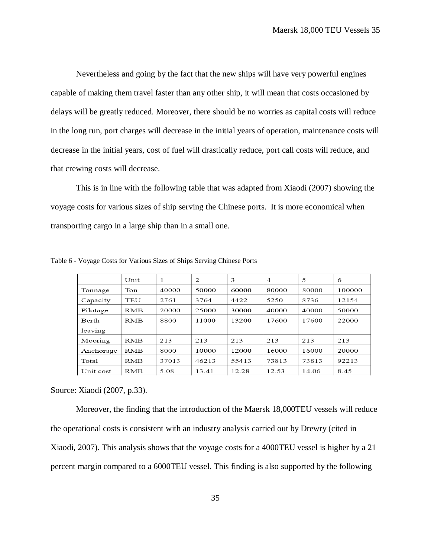Nevertheless and going by the fact that the new ships will have very powerful engines capable of making them travel faster than any other ship, it will mean that costs occasioned by delays will be greatly reduced. Moreover, there should be no worries as capital costs will reduce in the long run, port charges will decrease in the initial years of operation, maintenance costs will decrease in the initial years, cost of fuel will drastically reduce, port call costs will reduce, and that crewing costs will decrease.

This is in line with the following table that was adapted from Xiaodi (2007) showing the voyage costs for various sizes of ship serving the Chinese ports. It is more economical when transporting cargo in a large ship than in a small one.

|           | Unit       | 1     | 2     | 3     | $\overline{A}$ | 5     | 6      |
|-----------|------------|-------|-------|-------|----------------|-------|--------|
| Tonnage   | Ton        | 40000 | 50000 | 60000 | 80000          | 80000 | 100000 |
| Capacity  | TEU        | 2761  | 3764  | 4422  | 5250           | 8736  | 12154  |
| Pilotage  | <b>RMB</b> | 20000 | 25000 | 30000 | 40000          | 40000 | 50000  |
| Berth     | <b>RMB</b> | 8800  | 11000 | 13200 | 17600          | 17600 | 22000  |
| leaving   |            |       |       |       |                |       |        |
| Mooring   | <b>RMB</b> | 213   | 213   | 213   | 213            | 213   | 213    |
| Anchorage | <b>RMB</b> | 8000  | 10000 | 12000 | 16000          | 16000 | 20000  |
| Total     | RMB        | 37013 | 46213 | 55413 | 73813          | 73813 | 92213  |
| Unit cost | <b>RMB</b> | 5.08  | 13.41 | 12.28 | 12.53          | 14.06 | 8.45   |

<span id="page-49-0"></span>Table 6 - Voyage Costs for Various Sizes of Ships Serving Chinese Ports

Source: Xiaodi (2007, p.33).

Moreover, the finding that the introduction of the Maersk 18,000TEU vessels will reduce the operational costs is consistent with an industry analysis carried out by Drewry (cited in Xiaodi, 2007). This analysis shows that the voyage costs for a 4000TEU vessel is higher by a 21 percent margin compared to a 6000TEU vessel. This finding is also supported by the following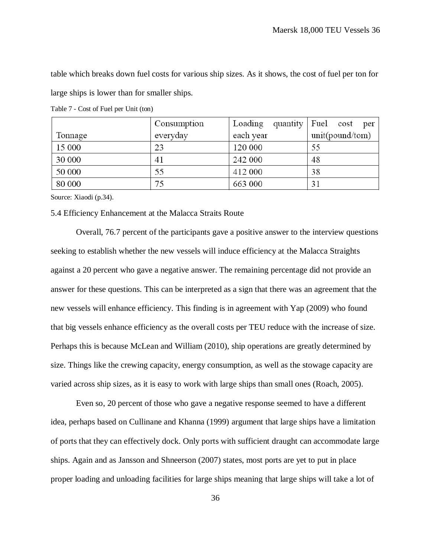table which breaks down fuel costs for various ship sizes. As it shows, the cost of fuel per ton for large ships is lower than for smaller ships.

|         | Consumption | Loading   | quantity $ $ Fuel cost<br>per |
|---------|-------------|-----------|-------------------------------|
| Tonnage | everyday    | each year | unit(pound/tom)               |
| 15 000  | 23          | 120 000   | 55                            |
| 30 000  | 41          | 242 000   | 48                            |
| 50 000  | 55          | 412 000   | 38                            |
| 80 000  | 75          | 663 000   | 31                            |

<span id="page-50-1"></span>Table 7 - Cost of Fuel per Unit (ton)

Source: Xiaodi (p.34).

#### <span id="page-50-0"></span>5.4 Efficiency Enhancement at the Malacca Straits Route

Overall, 76.7 percent of the participants gave a positive answer to the interview questions seeking to establish whether the new vessels will induce efficiency at the Malacca Straights against a 20 percent who gave a negative answer. The remaining percentage did not provide an answer for these questions. This can be interpreted as a sign that there was an agreement that the new vessels will enhance efficiency. This finding is in agreement with Yap (2009) who found that big vessels enhance efficiency as the overall costs per TEU reduce with the increase of size. Perhaps this is because McLean and William (2010), ship operations are greatly determined by size. Things like the crewing capacity, energy consumption, as well as the stowage capacity are varied across ship sizes, as it is easy to work with large ships than small ones (Roach, 2005).

Even so, 20 percent of those who gave a negative response seemed to have a different idea, perhaps based on Cullinane and Khanna (1999) argument that large ships have a limitation of ports that they can effectively dock. Only ports with sufficient draught can accommodate large ships. Again and as Jansson and Shneerson (2007) states, most ports are yet to put in place proper loading and unloading facilities for large ships meaning that large ships will take a lot of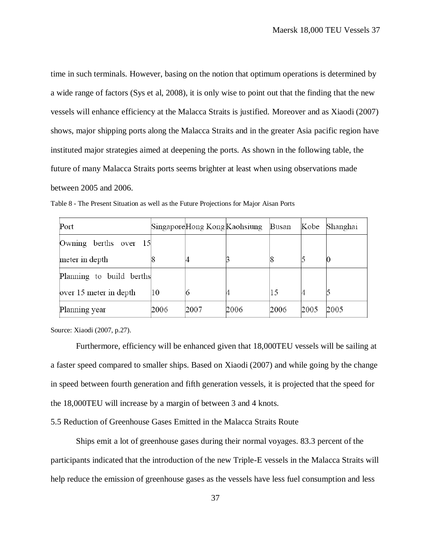time in such terminals. However, basing on the notion that optimum operations is determined by a wide range of factors (Sys et al, 2008), it is only wise to point out that the finding that the new vessels will enhance efficiency at the Malacca Straits is justified. Moreover and as Xiaodi (2007) shows, major shipping ports along the Malacca Straits and in the greater Asia pacific region have instituted major strategies aimed at deepening the ports. As shown in the following table, the future of many Malacca Straits ports seems brighter at least when using observations made between 2005 and 2006.

| Port                     |      | SingaporeHong Kong Kaohsiung |      | Busan | Kobe | Shanghai |
|--------------------------|------|------------------------------|------|-------|------|----------|
| Owning berths over 15    |      |                              |      |       |      |          |
| meter in depth           |      |                              |      |       |      |          |
| Planning to build berths |      |                              |      |       |      |          |
| over 15 meter in depth   | 10   |                              |      | 15    |      |          |
| Planning year            | 2006 | 2007                         | 2006 | 2006  | 2005 | 2005     |

<span id="page-51-1"></span>Table 8 - The Present Situation as well as the Future Projections for Major Aisan Ports

Source: Xiaodi (2007, p.27).

Furthermore, efficiency will be enhanced given that 18,000TEU vessels will be sailing at a faster speed compared to smaller ships. Based on Xiaodi (2007) and while going by the change in speed between fourth generation and fifth generation vessels, it is projected that the speed for the 18,000TEU will increase by a margin of between 3 and 4 knots.

<span id="page-51-0"></span>5.5 Reduction of Greenhouse Gases Emitted in the Malacca Straits Route

Ships emit a lot of greenhouse gases during their normal voyages. 83.3 percent of the participants indicated that the introduction of the new Triple-E vessels in the Malacca Straits will help reduce the emission of greenhouse gases as the vessels have less fuel consumption and less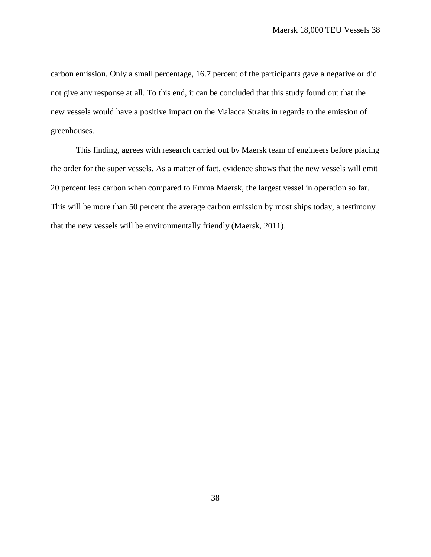carbon emission. Only a small percentage, 16.7 percent of the participants gave a negative or did not give any response at all. To this end, it can be concluded that this study found out that the new vessels would have a positive impact on the Malacca Straits in regards to the emission of greenhouses.

This finding, agrees with research carried out by Maersk team of engineers before placing the order for the super vessels. As a matter of fact, evidence shows that the new vessels will emit 20 percent less carbon when compared to Emma Maersk, the largest vessel in operation so far. This will be more than 50 percent the average carbon emission by most ships today, a testimony that the new vessels will be environmentally friendly (Maersk, 2011).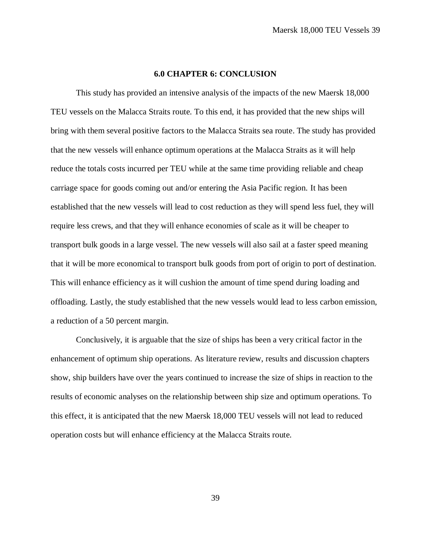# **6.0 CHAPTER 6: CONCLUSION**

<span id="page-53-0"></span>This study has provided an intensive analysis of the impacts of the new Maersk 18,000 TEU vessels on the Malacca Straits route. To this end, it has provided that the new ships will bring with them several positive factors to the Malacca Straits sea route. The study has provided that the new vessels will enhance optimum operations at the Malacca Straits as it will help reduce the totals costs incurred per TEU while at the same time providing reliable and cheap carriage space for goods coming out and/or entering the Asia Pacific region. It has been established that the new vessels will lead to cost reduction as they will spend less fuel, they will require less crews, and that they will enhance economies of scale as it will be cheaper to transport bulk goods in a large vessel. The new vessels will also sail at a faster speed meaning that it will be more economical to transport bulk goods from port of origin to port of destination. This will enhance efficiency as it will cushion the amount of time spend during loading and offloading. Lastly, the study established that the new vessels would lead to less carbon emission, a reduction of a 50 percent margin.

Conclusively, it is arguable that the size of ships has been a very critical factor in the enhancement of optimum ship operations. As literature review, results and discussion chapters show, ship builders have over the years continued to increase the size of ships in reaction to the results of economic analyses on the relationship between ship size and optimum operations. To this effect, it is anticipated that the new Maersk 18,000 TEU vessels will not lead to reduced operation costs but will enhance efficiency at the Malacca Straits route.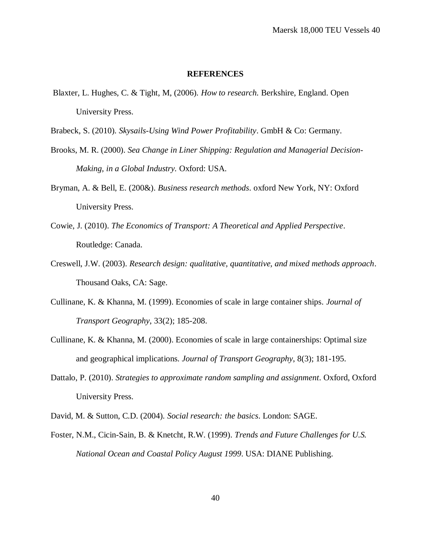#### **REFERENCES**

<span id="page-54-0"></span>Blaxter, L. Hughes, C. & Tight, M, (2006). *How to research.* Berkshire, England. Open University Press.

Brabeck, S. (2010). *Skysails-Using Wind Power Profitability*. GmbH & Co: Germany.

- Brooks, M. R. (2000). *Sea Change in Liner Shipping: Regulation and Managerial Decision-Making, in a Global Industry.* Oxford: USA.
- Bryman, A. & Bell, E. (200&). *Business research methods*. oxford New York, NY: Oxford University Press.
- Cowie, J. (2010). *The Economics of Transport: A Theoretical and Applied Perspective*. Routledge: Canada.
- Creswell, J.W. (2003). *Research design: qualitative, quantitative, and mixed methods approach*. Thousand Oaks, CA: Sage.
- Cullinane, K. & Khanna, M. (1999). Economies of scale in large container ships*. Journal of Transport Geography*, 33(2); 185-208.
- Cullinane, K. & Khanna, M. (2000). Economies of scale in large containerships: Optimal size and geographical implications. *Journal of Transport Geography*, 8(3); 181-195.
- Dattalo, P. (2010). *Strategies to approximate random sampling and assignment*. Oxford, Oxford University Press.
- David, M. & Sutton, C.D. (2004). *Social research: the basics*. London: SAGE.
- Foster, N.M., Cicin-Sain, B. & Knetcht, R.W. (1999). *Trends and Future Challenges for U.S. National Ocean and Coastal Policy August 1999*. USA: DIANE Publishing.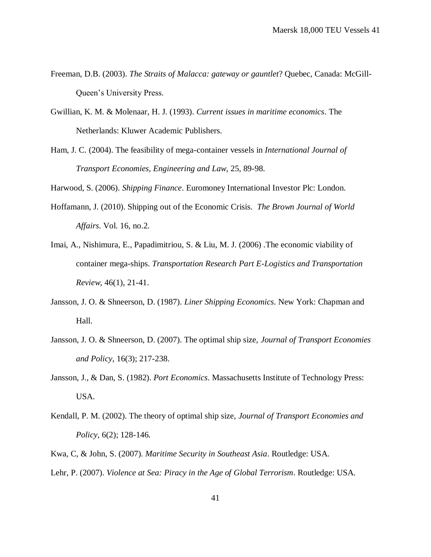- Freeman, D.B. (2003). *The Straits of Malacca: gateway or gauntlet*? Quebec, Canada: McGill-Queen's University Press.
- Gwillian, K. M. & Molenaar, H. J. (1993). *Current issues in maritime economics*. The Netherlands: Kluwer Academic Publishers.
- Ham, J. C. (2004). The feasibility of mega-container vessels in *International Journal of Transport Economies, Engineering and Law*, 25, 89-98.

Harwood, S. (2006). *Shipping Finance*. Euromoney International Investor Plc: London.

- Hoffamann, J. (2010). Shipping out of the Economic Crisis. *The Brown Journal of World Affairs*. Vol. 16, no.2.
- Imai, A., Nishimura, E., Papadimitriou, S. & Liu, M. J. (2006) .The economic viability of container mega-ships. *Transportation Research Part E-Logistics and Transportation Review*, 46(1), 21-41.
- Jansson, J. O. & Shneerson, D. (1987). *Liner Shipping Economics*. New York: Chapman and Hall.
- Jansson, J. O. & Shneerson, D. (2007). The optimal ship size, *Journal of Transport Economies and Policy*, 16(3); 217-238.
- Jansson, J., & Dan, S. (1982). *Port Economics*. Massachusetts Institute of Technology Press: USA.
- Kendall, P. M. (2002). The theory of optimal ship size, *Journal of Transport Economies and Policy*, 6(2); 128-146.
- Kwa, C, & John, S. (2007). *Maritime Security in Southeast Asia*. Routledge: USA.
- Lehr, P. (2007). *Violence at Sea: Piracy in the Age of Global Terrorism*. Routledge: USA.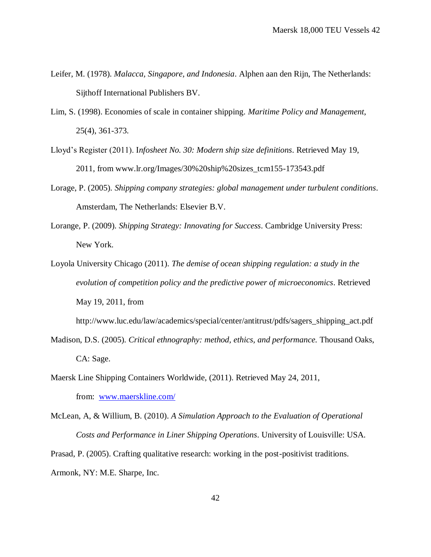- Leifer, M. (1978). *Malacca, Singapore, and Indonesia*. Alphen aan den Rijn, The Netherlands: Sijthoff International Publishers BV.
- Lim, S. (1998). Economies of scale in container shipping. *Maritime Policy and Management*, 25(4), 361-373.
- Lloyd's Register (2011). I*nfosheet No. 30: Modern ship size definitions*. Retrieved May 19, 2011, from www.lr.org/Images/30%20ship%20sizes\_tcm155-173543.pdf
- Lorage, P. (2005). *Shipping company strategies: global management under turbulent conditions*. Amsterdam, The Netherlands: Elsevier B.V.
- Lorange, P. (2009). *Shipping Strategy: Innovating for Success*. Cambridge University Press: New York.
- Loyola University Chicago (2011). *The demise of ocean shipping regulation: a study in the evolution of competition policy and the predictive power of microeconomics*. Retrieved May 19, 2011, from

http://www.luc.edu/law/academics/special/center/antitrust/pdfs/sagers\_shipping\_act.pdf

- Madison, D.S. (2005). *Critical ethnography: method, ethics, and performance.* Thousand Oaks, CA: Sage.
- Maersk Line Shipping Containers Worldwide, (2011). Retrieved May 24, 2011, from: [www.maerskline.com/](http://www.maerskline.com/)
- McLean, A, & Willium, B. (2010). *A Simulation Approach to the Evaluation of Operational Costs and Performance in Liner Shipping Operations*. University of Louisville: USA.

Prasad, P. (2005). Crafting qualitative research: working in the post-positivist traditions. Armonk, NY: M.E. Sharpe, Inc.